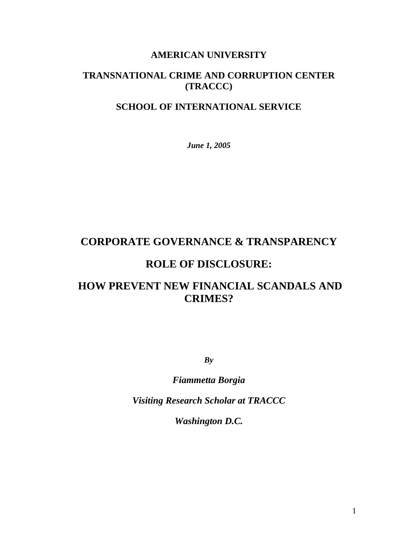# **AMERICAN UNIVERSITY**

# **TRANSNATIONAL CRIME AND CORRUPTION CENTER (TRACCC)**

# **SCHOOL OF INTERNATIONAL SERVICE**

*June 1, 2005* 

# **CORPORATE GOVERNANCE & TRANSPARENCY**

# **ROLE OF DISCLOSURE:**

# **HOW PREVENT NEW FINANCIAL SCANDALS AND CRIMES?**

*By* 

*Fiammetta Borgia* 

*Visiting Research Scholar at TRACCC* 

*Washington D.C.*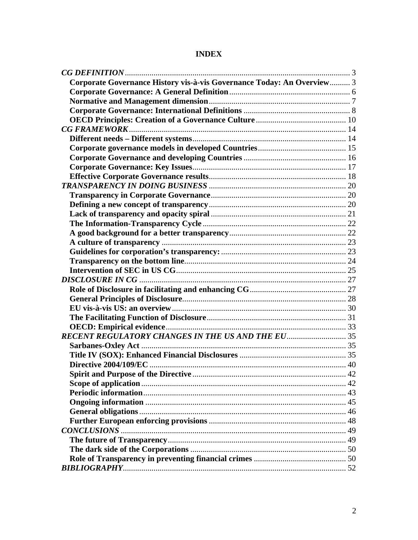# **INDEX**

| Corporate Governance History vis-à-vis Governance Today: An Overview 3 |  |
|------------------------------------------------------------------------|--|
|                                                                        |  |
|                                                                        |  |
|                                                                        |  |
|                                                                        |  |
|                                                                        |  |
|                                                                        |  |
|                                                                        |  |
|                                                                        |  |
|                                                                        |  |
|                                                                        |  |
|                                                                        |  |
|                                                                        |  |
|                                                                        |  |
|                                                                        |  |
|                                                                        |  |
|                                                                        |  |
|                                                                        |  |
|                                                                        |  |
|                                                                        |  |
|                                                                        |  |
|                                                                        |  |
|                                                                        |  |
|                                                                        |  |
|                                                                        |  |
|                                                                        |  |
|                                                                        |  |
| <b>RECENT REGULATORY CHANGES IN THE US AND THE EU</b> 35               |  |
|                                                                        |  |
|                                                                        |  |
|                                                                        |  |
|                                                                        |  |
|                                                                        |  |
|                                                                        |  |
|                                                                        |  |
|                                                                        |  |
|                                                                        |  |
|                                                                        |  |
|                                                                        |  |
|                                                                        |  |
|                                                                        |  |
|                                                                        |  |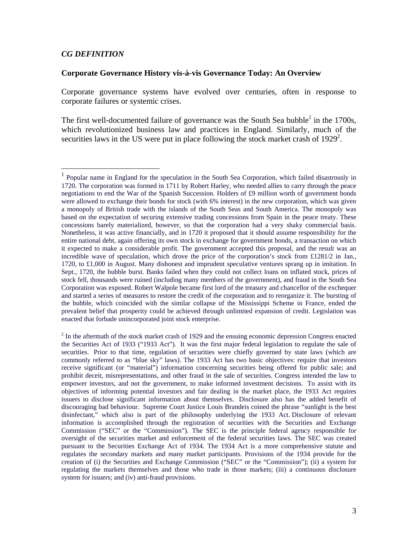#### <span id="page-2-0"></span>*CG DEFINITION*

1

#### **Corporate Governance History vis-à-vis Governance Today: An Overview**

Corporate governance systems have evolved over centuries, often in response to corporate failures or systemic crises.

The first well-documented failure of governance was the South Sea bubble<sup>[1](#page-2-1)</sup> in the 1700s, which revolutionized business law and practices in England. Similarly, much of the securities laws in the US were put in place following the stock market crash of  $1929^2$  $1929^2$  $1929^2$ .

<span id="page-2-1"></span><sup>1</sup> Popular name in England for the speculation in the South Sea Corporation, which failed disastrously in 1720. The corporation was formed in 1711 by Robert Harley, who needed allies to carry through the peace negotiations to end the War of the Spanish Succession. Holders of £9 million worth of government bonds were allowed to exchange their bonds for stock (with 6% interest) in the new corporation, which was given a monopoly of British trade with the islands of the South Seas and South America. The monopoly was based on the expectation of securing extensive trading concessions from Spain in the peace treaty. These concessions barely materialized, however, so that the corporation had a very shaky commercial basis. Nonetheless, it was active financially, and in 1720 it proposed that it should assume responsibility for the entire national debt, again offering its own stock in exchange for government bonds, a transaction on which it expected to make a considerable profit. The government accepted this proposal, and the result was an incredible wave of speculation, which drove the price of the corporation's stock from  $£1281/2$  in Jan., 1720, to £1,000 in August. Many dishonest and imprudent speculative ventures sprang up in imitation. In Sept., 1720, the bubble burst. Banks failed when they could not collect loans on inflated stock, prices of stock fell, thousands were ruined (including many members of the government), and fraud in the South Sea Corporation was exposed. Robert Walpole became first lord of the treasury and chancellor of the exchequer and started a series of measures to restore the credit of the corporation and to reorganize it. The bursting of the bubble, which coincided with the similar collapse of the Mississippi Scheme in France, ended the prevalent belief that prosperity could be achieved through unlimited expansion of credit. Legislation was enacted that forbade unincorporated joint stock enterprise.

<span id="page-2-2"></span> $2<sup>2</sup>$  In the aftermath of the stock market crash of 1929 and the ensuing economic depression Congress enacted the Securities Act of 1933 ("1933 Act"). It was the first major federal legislation to regulate the sale of securities. Prior to that time, regulation of securities were chiefly governed by state laws (which are commonly referred to as "blue sky" laws). The 1933 Act has two basic objectives: require that investors receive significant (or "material") information concerning securities being offered for public sale; and prohibit deceit, misrepresentations, and other fraud in the sale of securities. Congress intended the law to empower investors, and not the government, to make informed investment decisions. To assist with its objectives of informing potential investors and fair dealing in the market place, the 1933 Act requires issuers to disclose significant information about themselves. Disclosure also has the added benefit of discouraging bad behaviour. Supreme Court Justice Louis Brandeis coined the phrase "sunlight is the best disinfectant," which also is part of the philosophy underlying the 1933 Act. Disclosure of relevant information is accomplished through the registration of securities with the Securities and Exchange Commission ("SEC" or the "Commission"). The SEC is the principle federal agency responsible for oversight of the securities market and enforcement of the federal securities laws. The SEC was created pursuant to the Securities Exchange Act of 1934. The 1934 Act is a more comprehensive statute and regulates the secondary markets and many market participants. Provisions of the 1934 provide for the creation of (i) the Securities and Exchange Commission ("SEC" or the "Commission"); (ii) a system for regulating the markets themselves and those who trade in those markets; (iii) a continuous disclosure system for issuers; and (iv) anti-fraud provisions.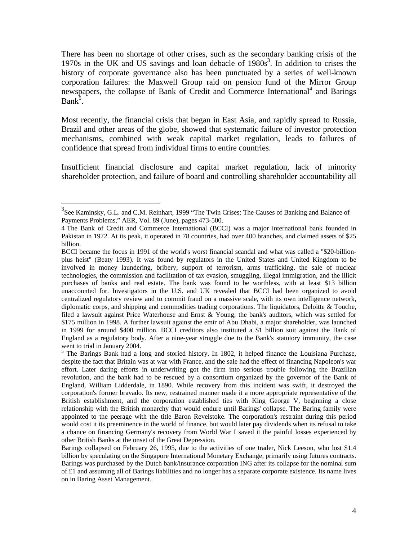There has been no shortage of other crises, such as the secondary banking crisis of the 1970s in the UK and US savings and loan debacle of  $1980s<sup>3</sup>$  $1980s<sup>3</sup>$  $1980s<sup>3</sup>$ . In addition to crises the history of corporate governance also has been punctuated by a series of well-known corporation failures: the Maxwell Group raid on pension fund of the Mirror Group newspapers,the collapse of Bank of Credit and Commerce International<sup>4</sup> and Barings  $Bank^5$ .

Most recently, the financial crisis that began in East Asia, and rapidly spread to Russia, Brazil and other areas of the globe, showed that systematic failure of investor protection mechanisms, combined with weak capital market regulation, leads to failures of confidence that spread from individual firms to entire countries.

Insufficient financial disclosure and capital market regulation, lack of minority shareholder protection, and failure of board and controlling shareholder accountability all

1

<span id="page-3-0"></span><sup>&</sup>lt;sup>3</sup>See Kaminsky, G.L. and C.M. Reinhart, 1999 "The Twin Crises: The Causes of Banking and Balance of Payments Problems," AER, Vol. 89 (June), pages 473-500.

<span id="page-3-1"></span><sup>4</sup> The Bank of Credit and Commerce International (BCCI) was a major international bank founded in Pakistan in 1972. At its peak, it operated in 78 countries, had over 400 branches, and claimed assets of \$25 billion.

BCCI became the focus in 1991 of the world's worst financial scandal and what was called a "\$20-billionplus heist" (Beaty 1993). It was found by regulators in the United States and United Kingdom to be involved in money laundering, bribery, support of terrorism, arms trafficking, the sale of nuclear technologies, the commission and facilitation of tax evasion, smuggling, illegal immigration, and the illicit purchases of banks and real estate. The bank was found to be worthless, with at least \$13 billion unaccounted for. Investigators in the U.S. and UK revealed that BCCI had been organized to avoid centralized regulatory review and to commit fraud on a massive scale, with its own intelligence network, diplomatic corps, and shipping and commodities trading corporations. The liquidators, Deloitte & Touche, filed a lawsuit against Price Waterhouse and Ernst & Young, the bank's auditors, which was settled for \$175 million in 1998. A further lawsuit against the emir of Abu Dhabi, a major shareholder, was launched in 1999 for around \$400 million. BCCI creditors also instituted a \$1 billion suit against the Bank of England as a regulatory body. After a nine-year struggle due to the Bank's statutory immunity, the case went to trial in January 2004.

<span id="page-3-2"></span> $<sup>5</sup>$  The Barings Bank had a long and storied history. In 1802, it helped finance the Louisiana Purchase,</sup> despite the fact that Britain was at war with France, and the sale had the effect of financing Napoleon's war effort. Later daring efforts in underwriting got the firm into serious trouble following the Brazilian revolution, and the bank had to be rescued by a consortium organized by the governor of the Bank of England, William Lidderdale, in 1890. While recovery from this incident was swift, it destroyed the corporation's former bravado. Its new, restrained manner made it a more appropriate representative of the British establishment, and the corporation established ties with King George V, beginning a close relationship with the British monarchy that would endure until Barings' collapse. The Baring family were appointed to the peerage with the title Baron Revelstoke. The corporation's restraint during this period would cost it its preeminence in the world of finance, but would later pay dividends when its refusal to take a chance on financing Germany's recovery from World War I saved it the painful losses experienced by other British Banks at the onset of the Great Depression.

Barings collapsed on February 26, 1995, due to the activities of one trader, Nick Leeson, who lost \$1.4 billion by speculating on the Singapore International Monetary Exchange, primarily using futures contracts. Barings was purchased by the Dutch bank/insurance corporation ING after its collapse for the nominal sum of £1 and assuming all of Barings liabilities and no longer has a separate corporate existence. Its name lives on in Baring Asset Management.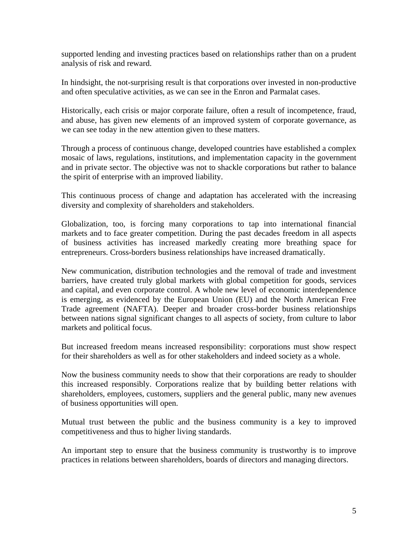supported lending and investing practices based on relationships rather than on a prudent analysis of risk and reward.

In hindsight, the not-surprising result is that corporations over invested in non-productive and often speculative activities, as we can see in the Enron and Parmalat cases.

Historically, each crisis or major corporate failure, often a result of incompetence, fraud, and abuse, has given new elements of an improved system of corporate governance, as we can see today in the new attention given to these matters.

Through a process of continuous change, developed countries have established a complex mosaic of laws, regulations, institutions, and implementation capacity in the government and in private sector. The objective was not to shackle corporations but rather to balance the spirit of enterprise with an improved liability.

This continuous process of change and adaptation has accelerated with the increasing diversity and complexity of shareholders and stakeholders.

Globalization, too, is forcing many corporations to tap into international financial markets and to face greater competition. During the past decades freedom in all aspects of business activities has increased markedly creating more breathing space for entrepreneurs. Cross-borders business relationships have increased dramatically.

New communication, distribution technologies and the removal of trade and investment barriers, have created truly global markets with global competition for goods, services and capital, and even corporate control. A whole new level of economic interdependence is emerging, as evidenced by the European Union (EU) and the North American Free Trade agreement (NAFTA). Deeper and broader cross-border business relationships between nations signal significant changes to all aspects of society, from culture to labor markets and political focus.

But increased freedom means increased responsibility: corporations must show respect for their shareholders as well as for other stakeholders and indeed society as a whole.

Now the business community needs to show that their corporations are ready to shoulder this increased responsibly. Corporations realize that by building better relations with shareholders, employees, customers, suppliers and the general public, many new avenues of business opportunities will open.

Mutual trust between the public and the business community is a key to improved competitiveness and thus to higher living standards.

An important step to ensure that the business community is trustworthy is to improve practices in relations between shareholders, boards of directors and managing directors.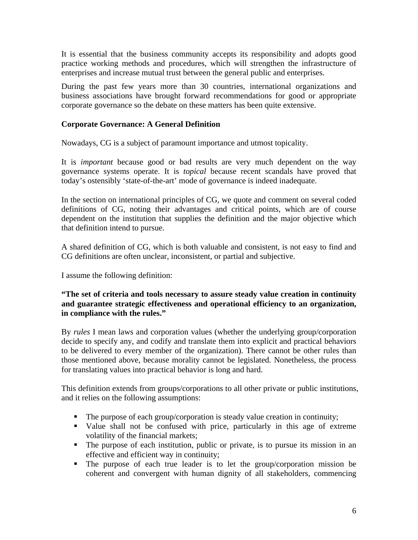<span id="page-5-0"></span>It is essential that the business community accepts its responsibility and adopts good practice working methods and procedures, which will strengthen the infrastructure of enterprises and increase mutual trust between the general public and enterprises.

During the past few years more than 30 countries, international organizations and business associations have brought forward recommendations for good or appropriate corporate governance so the debate on these matters has been quite extensive.

## **Corporate Governance: A General Definition**

Nowadays, CG is a subject of paramount importance and utmost topicality.

It is *important* because good or bad results are very much dependent on the way governance systems operate. It is *topical* because recent scandals have proved that today's ostensibly 'state-of-the-art' mode of governance is indeed inadequate.

In the section on international principles of CG, we quote and comment on several coded definitions of CG, noting their advantages and critical points, which are of course dependent on the institution that supplies the definition and the major objective which that definition intend to pursue.

A shared definition of CG, which is both valuable and consistent, is not easy to find and CG definitions are often unclear, inconsistent, or partial and subjective.

I assume the following definition:

#### **"The set of criteria and tools necessary to assure steady value creation in continuity and guarantee strategic effectiveness and operational efficiency to an organization, in compliance with the rules."**

By *rules* I mean laws and corporation values (whether the underlying group/corporation decide to specify any, and codify and translate them into explicit and practical behaviors to be delivered to every member of the organization). There cannot be other rules than those mentioned above, because morality cannot be legislated. Nonetheless, the process for translating values into practical behavior is long and hard.

This definition extends from groups/corporations to all other private or public institutions, and it relies on the following assumptions:

- The purpose of each group/corporation is steady value creation in continuity;
- Value shall not be confused with price, particularly in this age of extreme volatility of the financial markets;
- The purpose of each institution, public or private, is to pursue its mission in an effective and efficient way in continuity;
- The purpose of each true leader is to let the group/corporation mission be coherent and convergent with human dignity of all stakeholders, commencing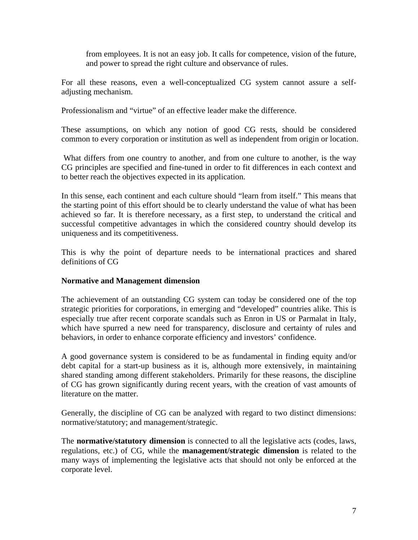<span id="page-6-0"></span>from employees. It is not an easy job. It calls for competence, vision of the future, and power to spread the right culture and observance of rules.

For all these reasons, even a well-conceptualized CG system cannot assure a selfadjusting mechanism.

Professionalism and "virtue" of an effective leader make the difference.

These assumptions, on which any notion of good CG rests, should be considered common to every corporation or institution as well as independent from origin or location.

What differs from one country to another, and from one culture to another, is the way CG principles are specified and fine-tuned in order to fit differences in each context and to better reach the objectives expected in its application.

In this sense, each continent and each culture should "learn from itself." This means that the starting point of this effort should be to clearly understand the value of what has been achieved so far. It is therefore necessary, as a first step, to understand the critical and successful competitive advantages in which the considered country should develop its uniqueness and its competitiveness.

This is why the point of departure needs to be international practices and shared definitions of CG

#### **Normative and Management dimension**

The achievement of an outstanding CG system can today be considered one of the top strategic priorities for corporations, in emerging and "developed" countries alike. This is especially true after recent corporate scandals such as Enron in US or Parmalat in Italy, which have spurred a new need for transparency, disclosure and certainty of rules and behaviors, in order to enhance corporate efficiency and investors' confidence.

A good governance system is considered to be as fundamental in finding equity and/or debt capital for a start-up business as it is, although more extensively, in maintaining shared standing among different stakeholders. Primarily for these reasons, the discipline of CG has grown significantly during recent years, with the creation of vast amounts of literature on the matter.

Generally, the discipline of CG can be analyzed with regard to two distinct dimensions: normative/statutory; and management/strategic.

The **normative/statutory dimension** is connected to all the legislative acts (codes, laws, regulations, etc.) of CG, while the **management/strategic dimension** is related to the many ways of implementing the legislative acts that should not only be enforced at the corporate level.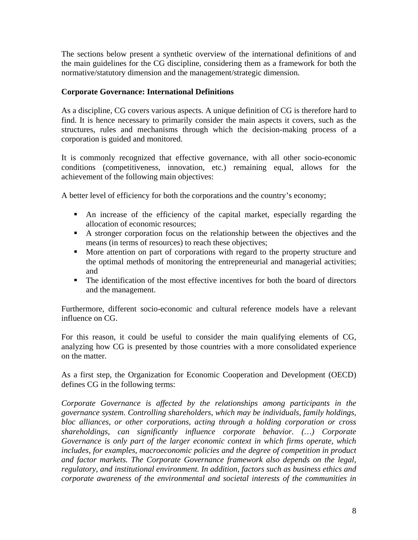<span id="page-7-0"></span>The sections below present a synthetic overview of the international definitions of and the main guidelines for the CG discipline, considering them as a framework for both the normative/statutory dimension and the management/strategic dimension.

## **Corporate Governance: International Definitions**

As a discipline, CG covers various aspects. A unique definition of CG is therefore hard to find. It is hence necessary to primarily consider the main aspects it covers, such as the structures, rules and mechanisms through which the decision-making process of a corporation is guided and monitored.

It is commonly recognized that effective governance, with all other socio-economic conditions (competitiveness, innovation, etc.) remaining equal, allows for the achievement of the following main objectives:

A better level of efficiency for both the corporations and the country's economy;

- An increase of the efficiency of the capital market, especially regarding the allocation of economic resources;
- A stronger corporation focus on the relationship between the objectives and the means (in terms of resources) to reach these objectives;
- More attention on part of corporations with regard to the property structure and the optimal methods of monitoring the entrepreneurial and managerial activities; and
- The identification of the most effective incentives for both the board of directors and the management.

Furthermore, different socio-economic and cultural reference models have a relevant influence on CG.

For this reason, it could be useful to consider the main qualifying elements of CG, analyzing how CG is presented by those countries with a more consolidated experience on the matter.

As a first step, the Organization for Economic Cooperation and Development (OECD) defines CG in the following terms:

*Corporate Governance is affected by the relationships among participants in the governance system. Controlling shareholders, which may be individuals, family holdings, bloc alliances, or other corporations, acting through a holding corporation or cross shareholdings, can significantly influence corporate behavior. (…) Corporate Governance is only part of the larger economic context in which firms operate, which includes, for examples, macroeconomic policies and the degree of competition in product and factor markets. The Corporate Governance framework also depends on the legal, regulatory, and institutional environment. In addition, factors such as business ethics and corporate awareness of the environmental and societal interests of the communities in*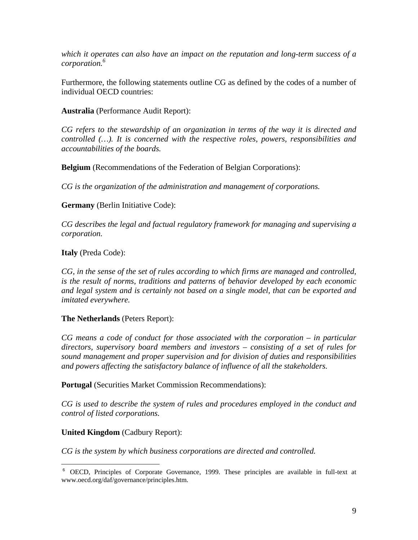*which it operates can also have an impact on the reputation and long-term success of a corporation[.6](#page-8-0)*

Furthermore, the following statements outline CG as defined by the codes of a number of individual OECD countries:

**Australia** (Performance Audit Report):

*CG refers to the stewardship of an organization in terms of the way it is directed and controlled (…). It is concerned with the respective roles, powers, responsibilities and accountabilities of the boards.* 

**Belgium** (Recommendations of the Federation of Belgian Corporations):

*CG is the organization of the administration and management of corporations.* 

#### **Germany** (Berlin Initiative Code):

*CG describes the legal and factual regulatory framework for managing and supervising a corporation.* 

#### **Italy** (Preda Code):

*CG, in the sense of the set of rules according to which firms are managed and controlled, is the result of norms, traditions and patterns of behavior developed by each economic and legal system and is certainly not based on a single model, that can be exported and imitated everywhere.* 

#### **The Netherlands** (Peters Report):

*CG means a code of conduct for those associated with the corporation – in particular directors, supervisory board members and investors – consisting of a set of rules for sound management and proper supervision and for division of duties and responsibilities and powers affecting the satisfactory balance of influence of all the stakeholders.*

**Portugal** *(Securities Market Commission Recommendations)***:** 

*CG is used to describe the system of rules and procedures employed in the conduct and control of listed corporations.* 

## **United Kingdom** (Cadbury Report):

1

*CG is the system by which business corporations are directed and controlled.* 

<span id="page-8-0"></span><sup>&</sup>lt;sup>6</sup> OECD, Principles of Corporate Governance, 1999. These principles are available in full-text at www.oecd.org/daf/governance/principles.htm.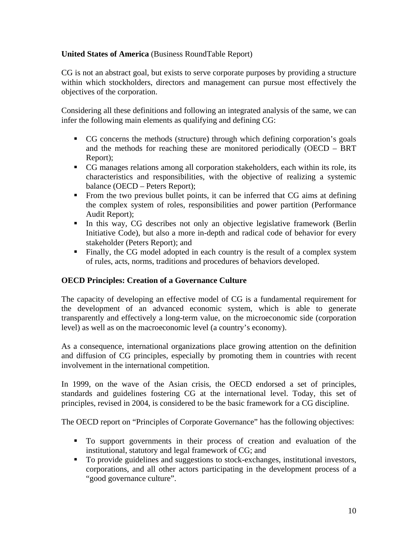# <span id="page-9-0"></span>**United States of America** (Business RoundTable Report)

CG is not an abstract goal, but exists to serve corporate purposes by providing a structure within which stockholders, directors and management can pursue most effectively the objectives of the corporation.

Considering all these definitions and following an integrated analysis of the same, we can infer the following main elements as qualifying and defining CG:

- CG concerns the methods (structure) through which defining corporation's goals and the methods for reaching these are monitored periodically (OECD – BRT Report);
- CG manages relations among all corporation stakeholders, each within its role, its characteristics and responsibilities, with the objective of realizing a systemic balance (OECD – Peters Report);
- From the two previous bullet points, it can be inferred that CG aims at defining the complex system of roles, responsibilities and power partition (Performance Audit Report);
- In this way, CG describes not only an objective legislative framework (Berlin Initiative Code), but also a more in-depth and radical code of behavior for every stakeholder (Peters Report); and
- Finally, the CG model adopted in each country is the result of a complex system of rules, acts, norms, traditions and procedures of behaviors developed.

## **OECD Principles: Creation of a Governance Culture**

The capacity of developing an effective model of CG is a fundamental requirement for the development of an advanced economic system, which is able to generate transparently and effectively a long-term value, on the microeconomic side (corporation level) as well as on the macroeconomic level (a country's economy).

As a consequence, international organizations place growing attention on the definition and diffusion of CG principles, especially by promoting them in countries with recent involvement in the international competition.

In 1999, on the wave of the Asian crisis, the OECD endorsed a set of principles, standards and guidelines fostering CG at the international level. Today, this set of principles, revised in 2004, is considered to be the basic framework for a CG discipline.

The OECD report on "Principles of Corporate Governance" has the following objectives:

- To support governments in their process of creation and evaluation of the institutional, statutory and legal framework of CG; and
- To provide guidelines and suggestions to stock-exchanges, institutional investors, corporations, and all other actors participating in the development process of a "good governance culture".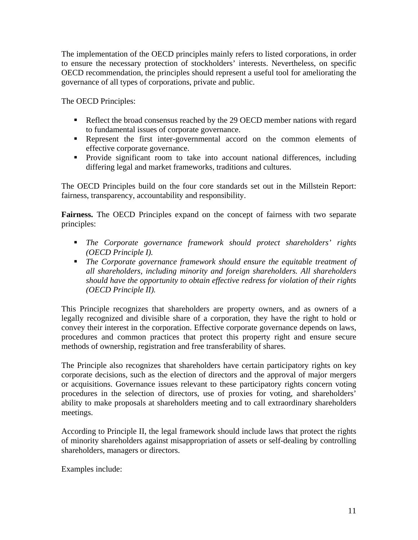The implementation of the OECD principles mainly refers to listed corporations, in order to ensure the necessary protection of stockholders' interests. Nevertheless, on specific OECD recommendation, the principles should represent a useful tool for ameliorating the governance of all types of corporations, private and public.

The OECD Principles:

- Reflect the broad consensus reached by the 29 OECD member nations with regard to fundamental issues of corporate governance.
- Represent the first inter-governmental accord on the common elements of effective corporate governance.
- Provide significant room to take into account national differences, including differing legal and market frameworks, traditions and cultures.

The OECD Principles build on the four core standards set out in the Millstein Report: fairness, transparency, accountability and responsibility.

**Fairness.** The OECD Principles expand on the concept of fairness with two separate principles:

- *The Corporate governance framework should protect shareholders' rights (OECD Principle I).*
- *The Corporate governance framework should ensure the equitable treatment of all shareholders, including minority and foreign shareholders. All shareholders should have the opportunity to obtain effective redress for violation of their rights (OECD Principle II).*

This Principle recognizes that shareholders are property owners, and as owners of a legally recognized and divisible share of a corporation, they have the right to hold or convey their interest in the corporation. Effective corporate governance depends on laws, procedures and common practices that protect this property right and ensure secure methods of ownership, registration and free transferability of shares.

The Principle also recognizes that shareholders have certain participatory rights on key corporate decisions, such as the election of directors and the approval of major mergers or acquisitions. Governance issues relevant to these participatory rights concern voting procedures in the selection of directors, use of proxies for voting, and shareholders' ability to make proposals at shareholders meeting and to call extraordinary shareholders meetings.

According to Principle II, the legal framework should include laws that protect the rights of minority shareholders against misappropriation of assets or self-dealing by controlling shareholders, managers or directors.

Examples include: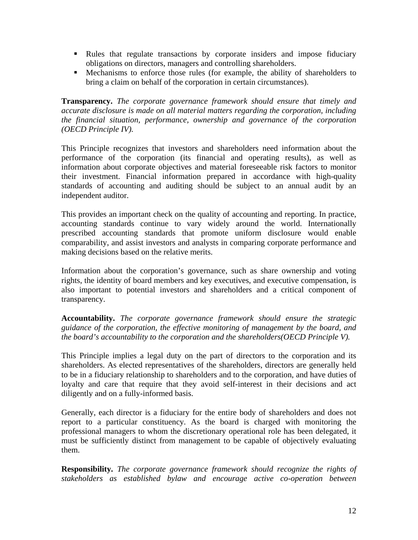- Rules that regulate transactions by corporate insiders and impose fiduciary obligations on directors, managers and controlling shareholders.
- Mechanisms to enforce those rules (for example, the ability of shareholders to bring a claim on behalf of the corporation in certain circumstances).

**Transparency.** *The corporate governance framework should ensure that timely and accurate disclosure is made on all material matters regarding the corporation, including the financial situation, performance, ownership and governance of the corporation (OECD Principle IV).*

This Principle recognizes that investors and shareholders need information about the performance of the corporation (its financial and operating results), as well as information about corporate objectives and material foreseeable risk factors to monitor their investment. Financial information prepared in accordance with high-quality standards of accounting and auditing should be subject to an annual audit by an independent auditor.

This provides an important check on the quality of accounting and reporting. In practice, accounting standards continue to vary widely around the world. Internationally prescribed accounting standards that promote uniform disclosure would enable comparability, and assist investors and analysts in comparing corporate performance and making decisions based on the relative merits.

Information about the corporation's governance, such as share ownership and voting rights, the identity of board members and key executives, and executive compensation, is also important to potential investors and shareholders and a critical component of transparency.

**Accountability.** *The corporate governance framework should ensure the strategic guidance of the corporation, the effective monitoring of management by the board, and the board's accountability to the corporation and the shareholders(OECD Principle V).* 

This Principle implies a legal duty on the part of directors to the corporation and its shareholders. As elected representatives of the shareholders, directors are generally held to be in a fiduciary relationship to shareholders and to the corporation, and have duties of loyalty and care that require that they avoid self-interest in their decisions and act diligently and on a fully-informed basis.

Generally, each director is a fiduciary for the entire body of shareholders and does not report to a particular constituency. As the board is charged with monitoring the professional managers to whom the discretionary operational role has been delegated, it must be sufficiently distinct from management to be capable of objectively evaluating them.

**Responsibility.** *The corporate governance framework should recognize the rights of stakeholders as established bylaw and encourage active co-operation between*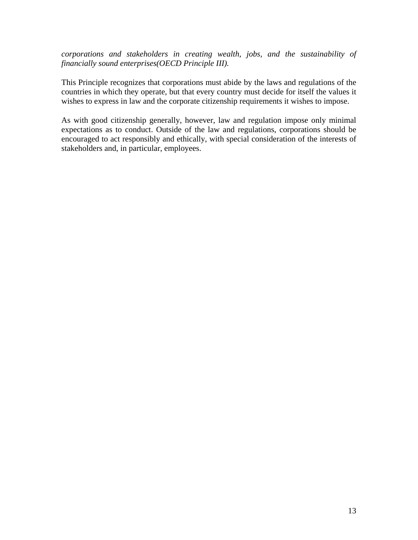*corporations and stakeholders in creating wealth, jobs, and the sustainability of financially sound enterprises(OECD Principle III).*

This Principle recognizes that corporations must abide by the laws and regulations of the countries in which they operate, but that every country must decide for itself the values it wishes to express in law and the corporate citizenship requirements it wishes to impose.

As with good citizenship generally, however, law and regulation impose only minimal expectations as to conduct. Outside of the law and regulations, corporations should be encouraged to act responsibly and ethically, with special consideration of the interests of stakeholders and, in particular, employees.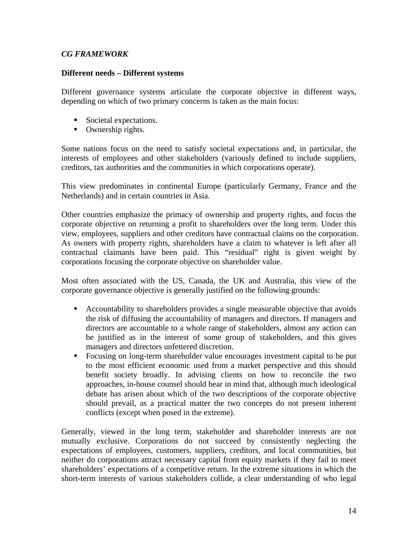## <span id="page-13-0"></span>*CG FRAMEWORK*

#### **Different needs – Different systems**

Different governance systems articulate the corporate objective in different ways, depending on which of two primary concerns is taken as the main focus:

- Societal expectations.
- Ownership rights.

Some nations focus on the need to satisfy societal expectations and, in particular, the interests of employees and other stakeholders (variously defined to include suppliers, creditors, tax authorities and the communities in which corporations operate).

This view predominates in continental Europe (particularly Germany, France and the Netherlands) and in certain countries in Asia.

Other countries emphasize the primacy of ownership and property rights, and focus the corporate objective on returning a profit to shareholders over the long term. Under this view, employees, suppliers and other creditors have contractual claims on the corporation. As owners with property rights, shareholders have a claim to whatever is left after all contractual claimants have been paid. This "residual" right is given weight by corporations focusing the corporate objective on shareholder value.

Most often associated with the US, Canada, the UK and Australia, this view of the corporate governance objective is generally justified on the following grounds:

- Accountability to shareholders provides a single measurable objective that avoids the risk of diffusing the accountability of managers and directors. If managers and directors are accountable to a whole range of stakeholders, almost any action can be justified as in the interest of some group of stakeholders, and this gives managers and directors unfettered discretion.
- Focusing on long-term shareholder value encourages investment capital to be put to the most efficient economic used from a market perspective and this should benefit society broadly. In advising clients on how to reconcile the two approaches, in-house counsel should bear in mind that, although much ideological debate has arisen about which of the two descriptions of the corporate objective should prevail, as a practical matter the two concepts do not present inherent conflicts (except when posed in the extreme).

Generally, viewed in the long term, stakeholder and shareholder interests are not mutually exclusive. Corporations do not succeed by consistently neglecting the expectations of employees, customers, suppliers, creditors, and local communities, but neither do corporations attract necessary capital from equity markets if they fail to meet shareholders' expectations of a competitive return. In the extreme situations in which the short-term interests of various stakeholders collide, a clear understanding of who legal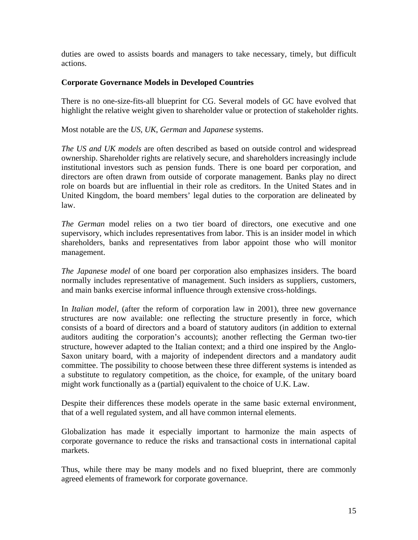<span id="page-14-0"></span>duties are owed to assists boards and managers to take necessary, timely, but difficult actions.

#### **Corporate Governance Models in Developed Countries**

There is no one-size-fits-all blueprint for CG. Several models of GC have evolved that highlight the relative weight given to shareholder value or protection of stakeholder rights.

Most notable are the *US, UK*, *German* and *Japanese* systems.

*The US and UK models* are often described as based on outside control and widespread ownership. Shareholder rights are relatively secure, and shareholders increasingly include institutional investors such as pension funds. There is one board per corporation, and directors are often drawn from outside of corporate management. Banks play no direct role on boards but are influential in their role as creditors. In the United States and in United Kingdom, the board members' legal duties to the corporation are delineated by law.

*The German* model relies on a two tier board of directors, one executive and one supervisory, which includes representatives from labor. This is an insider model in which shareholders, banks and representatives from labor appoint those who will monitor management.

*The Japanese model* of one board per corporation also emphasizes insiders. The board normally includes representative of management. Such insiders as suppliers, customers, and main banks exercise informal influence through extensive cross-holdings.

In *Italian model,* (after the reform of corporation law in 2001), three new governance structures are now available: one reflecting the structure presently in force, which consists of a board of directors and a board of statutory auditors (in addition to external auditors auditing the corporation's accounts); another reflecting the German two-tier structure, however adapted to the Italian context; and a third one inspired by the Anglo-Saxon unitary board, with a majority of independent directors and a mandatory audit committee. The possibility to choose between these three different systems is intended as a substitute to regulatory competition, as the choice, for example, of the unitary board might work functionally as a (partial) equivalent to the choice of U.K. Law.

Despite their differences these models operate in the same basic external environment, that of a well regulated system, and all have common internal elements.

Globalization has made it especially important to harmonize the main aspects of corporate governance to reduce the risks and transactional costs in international capital markets.

Thus, while there may be many models and no fixed blueprint, there are commonly agreed elements of framework for corporate governance.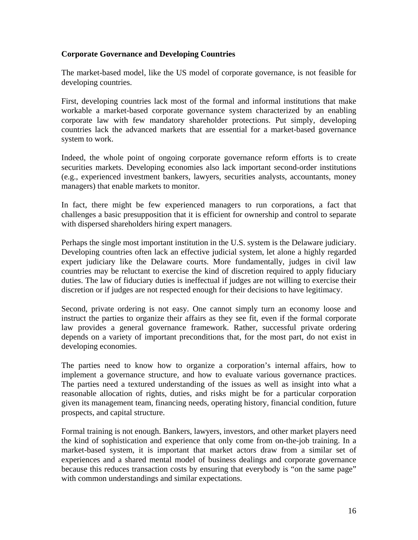## <span id="page-15-0"></span>**Corporate Governance and Developing Countries**

The market-based model, like the US model of corporate governance, is not feasible for developing countries.

First, developing countries lack most of the formal and informal institutions that make workable a market-based corporate governance system characterized by an enabling corporate law with few mandatory shareholder protections. Put simply, developing countries lack the advanced markets that are essential for a market-based governance system to work.

Indeed, the whole point of ongoing corporate governance reform efforts is to create securities markets. Developing economies also lack important second-order institutions (e.g., experienced investment bankers, lawyers, securities analysts, accountants, money managers) that enable markets to monitor.

In fact, there might be few experienced managers to run corporations, a fact that challenges a basic presupposition that it is efficient for ownership and control to separate with dispersed shareholders hiring expert managers.

Perhaps the single most important institution in the U.S. system is the Delaware judiciary. Developing countries often lack an effective judicial system, let alone a highly regarded expert judiciary like the Delaware courts. More fundamentally, judges in civil law countries may be reluctant to exercise the kind of discretion required to apply fiduciary duties. The law of fiduciary duties is ineffectual if judges are not willing to exercise their discretion or if judges are not respected enough for their decisions to have legitimacy.

Second, private ordering is not easy. One cannot simply turn an economy loose and instruct the parties to organize their affairs as they see fit, even if the formal corporate law provides a general governance framework. Rather, successful private ordering depends on a variety of important preconditions that, for the most part, do not exist in developing economies.

The parties need to know how to organize a corporation's internal affairs, how to implement a governance structure, and how to evaluate various governance practices. The parties need a textured understanding of the issues as well as insight into what a reasonable allocation of rights, duties, and risks might be for a particular corporation given its management team, financing needs, operating history, financial condition, future prospects, and capital structure.

Formal training is not enough. Bankers, lawyers, investors, and other market players need the kind of sophistication and experience that only come from on-the-job training. In a market-based system, it is important that market actors draw from a similar set of experiences and a shared mental model of business dealings and corporate governance because this reduces transaction costs by ensuring that everybody is "on the same page" with common understandings and similar expectations.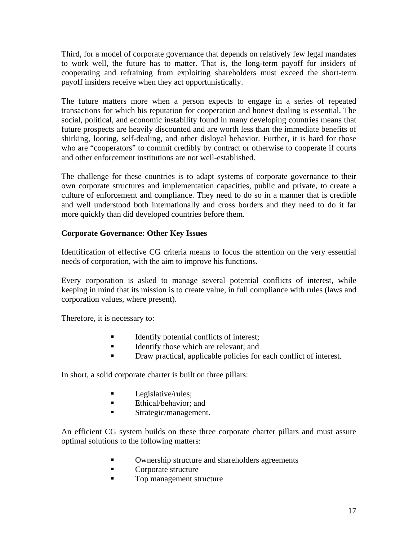<span id="page-16-0"></span>Third, for a model of corporate governance that depends on relatively few legal mandates to work well, the future has to matter. That is, the long-term payoff for insiders of cooperating and refraining from exploiting shareholders must exceed the short-term payoff insiders receive when they act opportunistically.

The future matters more when a person expects to engage in a series of repeated transactions for which his reputation for cooperation and honest dealing is essential. The social, political, and economic instability found in many developing countries means that future prospects are heavily discounted and are worth less than the immediate benefits of shirking, looting, self-dealing, and other disloyal behavior. Further, it is hard for those who are "cooperators" to commit credibly by contract or otherwise to cooperate if courts and other enforcement institutions are not well-established.

The challenge for these countries is to adapt systems of corporate governance to their own corporate structures and implementation capacities, public and private, to create a culture of enforcement and compliance. They need to do so in a manner that is credible and well understood both internationally and cross borders and they need to do it far more quickly than did developed countries before them.

# **Corporate Governance: Other Key Issues**

Identification of effective CG criteria means to focus the attention on the very essential needs of corporation, with the aim to improve his functions.

Every corporation is asked to manage several potential conflicts of interest, while keeping in mind that its mission is to create value, in full compliance with rules (laws and corporation values, where present).

Therefore, it is necessary to:

- Identify potential conflicts of interest;
- Identify those which are relevant; and
- Draw practical, applicable policies for each conflict of interest.

In short, a solid corporate charter is built on three pillars:

- **Legislative/rules;**
- **Ethical/behavior: and**
- Strategic/management.

An efficient CG system builds on these three corporate charter pillars and must assure optimal solutions to the following matters:

- **•** Ownership structure and shareholders agreements
- Corporate structure
- **Top management structure**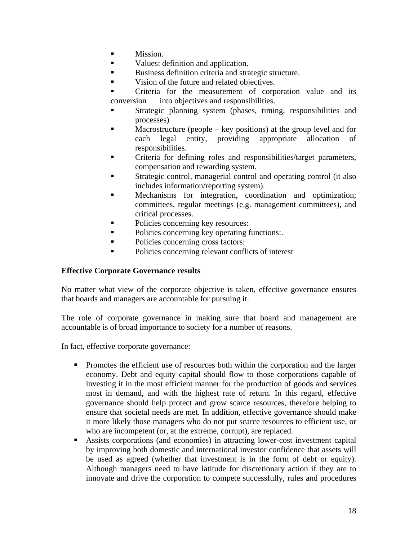- <span id="page-17-0"></span>**Nission.**
- values: definition and application.
- Business definition criteria and strategic structure.
- Vision of the future and related objectives.
- Criteria for the measurement of corporation value and its conversion into objectives and responsibilities.
- Strategic planning system (phases, timing, responsibilities and processes)
- Macrostructure (people key positions) at the group level and for each legal entity, providing appropriate allocation responsibilities.
- Criteria for defining roles and responsibilities/target parameters, compensation and rewarding system.
- Strategic control, managerial control and operating control (it also includes information/reporting system).
- Mechanisms for integration, coordination and optimization; committees, regular meetings (e.g. management committees), and critical processes.
- Policies concerning key resources:
- Policies concerning key operating functions:.
- Policies concerning cross factors:
- Policies concerning relevant conflicts of interest

## **Effective Corporate Governance results**

No matter what view of the corporate objective is taken, effective governance ensures that boards and managers are accountable for pursuing it.

The role of corporate governance in making sure that board and management are accountable is of broad importance to society for a number of reasons.

In fact, effective corporate governance:

- Promotes the efficient use of resources both within the corporation and the larger economy. Debt and equity capital should flow to those corporations capable of investing it in the most efficient manner for the production of goods and services most in demand, and with the highest rate of return. In this regard, effective governance should help protect and grow scarce resources, therefore helping to ensure that societal needs are met. In addition, effective governance should make it more likely those managers who do not put scarce resources to efficient use, or who are incompetent (or, at the extreme, corrupt), are replaced.
- Assists corporations (and economies) in attracting lower-cost investment capital by improving both domestic and international investor confidence that assets will be used as agreed (whether that investment is in the form of debt or equity). Although managers need to have latitude for discretionary action if they are to innovate and drive the corporation to compete successfully, rules and procedures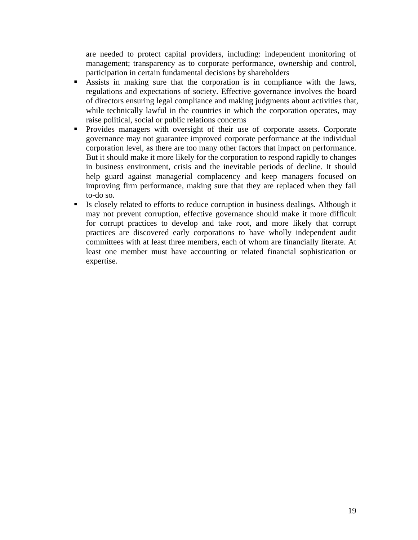are needed to protect capital providers, including: independent monitoring of management; transparency as to corporate performance, ownership and control, participation in certain fundamental decisions by shareholders

- Assists in making sure that the corporation is in compliance with the laws, regulations and expectations of society. Effective governance involves the board of directors ensuring legal compliance and making judgments about activities that, while technically lawful in the countries in which the corporation operates, may raise political, social or public relations concerns
- Provides managers with oversight of their use of corporate assets. Corporate governance may not guarantee improved corporate performance at the individual corporation level, as there are too many other factors that impact on performance. But it should make it more likely for the corporation to respond rapidly to changes in business environment, crisis and the inevitable periods of decline. It should help guard against managerial complacency and keep managers focused on improving firm performance, making sure that they are replaced when they fail to-do so.
- Is closely related to efforts to reduce corruption in business dealings. Although it may not prevent corruption, effective governance should make it more difficult for corrupt practices to develop and take root, and more likely that corrupt practices are discovered early corporations to have wholly independent audit committees with at least three members, each of whom are financially literate. At least one member must have accounting or related financial sophistication or expertise.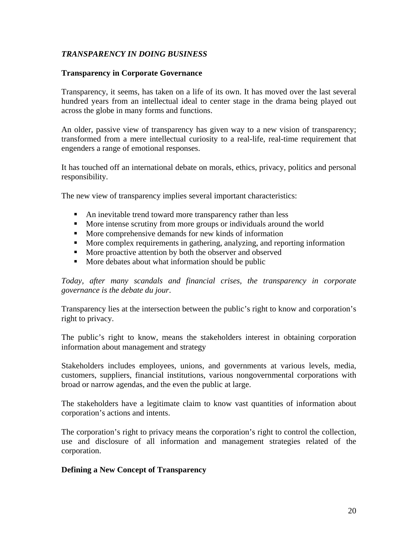# <span id="page-19-0"></span>*TRANSPARENCY IN DOING BUSINESS*

#### **Transparency in Corporate Governance**

Transparency, it seems, has taken on a life of its own. It has moved over the last several hundred years from an intellectual ideal to center stage in the drama being played out across the globe in many forms and functions.

An older, passive view of transparency has given way to a new vision of transparency; transformed from a mere intellectual curiosity to a real-life, real-time requirement that engenders a range of emotional responses.

It has touched off an international debate on morals, ethics, privacy, politics and personal responsibility.

The new view of transparency implies several important characteristics:

- An inevitable trend toward more transparency rather than less
- More intense scrutiny from more groups or individuals around the world
- **More comprehensive demands for new kinds of information**
- More complex requirements in gathering, analyzing, and reporting information
- More proactive attention by both the observer and observed
- More debates about what information should be public

*Today, after many scandals and financial crises, the transparency in corporate governance is the debate du jour*.

Transparency lies at the intersection between the public's right to know and corporation's right to privacy.

The public's right to know, means the stakeholders interest in obtaining corporation information about management and strategy

Stakeholders includes employees, unions, and governments at various levels, media, customers, suppliers, financial institutions, various nongovernmental corporations with broad or narrow agendas, and the even the public at large.

The stakeholders have a legitimate claim to know vast quantities of information about corporation's actions and intents.

The corporation's right to privacy means the corporation's right to control the collection, use and disclosure of all information and management strategies related of the corporation.

#### **Defining a New Concept of Transparency**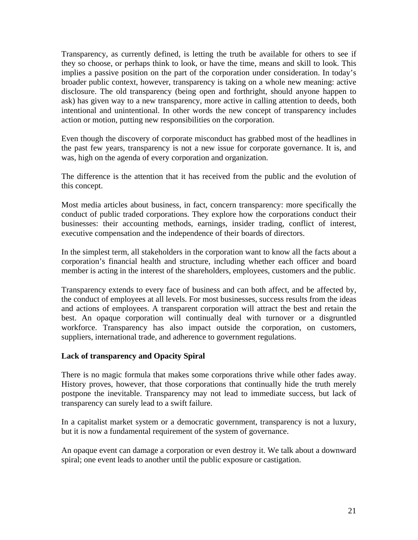<span id="page-20-0"></span>Transparency, as currently defined, is letting the truth be available for others to see if they so choose, or perhaps think to look, or have the time, means and skill to look. This implies a passive position on the part of the corporation under consideration. In today's broader public context, however, transparency is taking on a whole new meaning: active disclosure. The old transparency (being open and forthright, should anyone happen to ask) has given way to a new transparency, more active in calling attention to deeds, both intentional and unintentional. In other words the new concept of transparency includes action or motion, putting new responsibilities on the corporation.

Even though the discovery of corporate misconduct has grabbed most of the headlines in the past few years, transparency is not a new issue for corporate governance. It is, and was, high on the agenda of every corporation and organization.

The difference is the attention that it has received from the public and the evolution of this concept.

Most media articles about business, in fact, concern transparency: more specifically the conduct of public traded corporations. They explore how the corporations conduct their businesses: their accounting methods, earnings, insider trading, conflict of interest, executive compensation and the independence of their boards of directors.

In the simplest term, all stakeholders in the corporation want to know all the facts about a corporation's financial health and structure, including whether each officer and board member is acting in the interest of the shareholders, employees, customers and the public.

Transparency extends to every face of business and can both affect, and be affected by, the conduct of employees at all levels. For most businesses, success results from the ideas and actions of employees. A transparent corporation will attract the best and retain the best. An opaque corporation will continually deal with turnover or a disgruntled workforce. Transparency has also impact outside the corporation, on customers, suppliers, international trade, and adherence to government regulations.

#### **Lack of transparency and Opacity Spiral**

There is no magic formula that makes some corporations thrive while other fades away. History proves, however, that those corporations that continually hide the truth merely postpone the inevitable. Transparency may not lead to immediate success, but lack of transparency can surely lead to a swift failure.

In a capitalist market system or a democratic government, transparency is not a luxury, but it is now a fundamental requirement of the system of governance.

An opaque event can damage a corporation or even destroy it. We talk about a downward spiral; one event leads to another until the public exposure or castigation.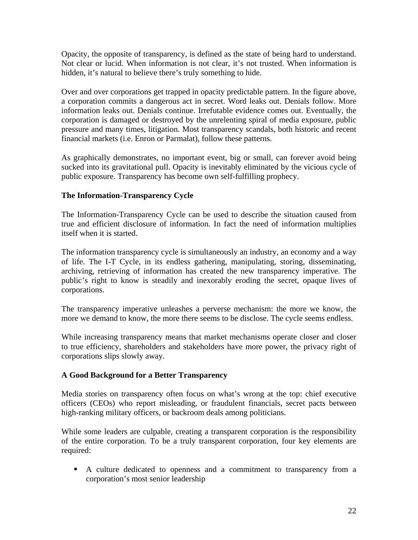<span id="page-21-0"></span>Opacity, the opposite of transparency, is defined as the state of being hard to understand. Not clear or lucid. When information is not clear, it's not trusted. When information is hidden, it's natural to believe there's truly something to hide.

Over and over corporations get trapped in opacity predictable pattern. In the figure above, a corporation commits a dangerous act in secret. Word leaks out. Denials follow. More information leaks out. Denials continue. Irrefutable evidence comes out. Eventually, the corporation is damaged or destroyed by the unrelenting spiral of media exposure, public pressure and many times, litigation. Most transparency scandals, both historic and recent financial markets (i.e. Enron or Parmalat), follow these patterns.

As graphically demonstrates, no important event, big or small, can forever avoid being sucked into its gravitational pull. Opacity is inevitably eliminated by the vicious cycle of public exposure. Transparency has become own self-fulfilling prophecy.

## **The Information-Transparency Cycle**

The Information-Transparency Cycle can be used to describe the situation caused from true and efficient disclosure of information. In fact the need of information multiplies itself when it is started.

The information transparency cycle is simultaneously an industry, an economy and a way of life. The I-T Cycle, in its endless gathering, manipulating, storing, disseminating, archiving, retrieving of information has created the new transparency imperative. The public's right to know is steadily and inexorably eroding the secret, opaque lives of corporations.

The transparency imperative unleashes a perverse mechanism: the more we know, the more we demand to know, the more there seems to be disclose. The cycle seems endless.

While increasing transparency means that market mechanisms operate closer and closer to true efficiency, shareholders and stakeholders have more power, the privacy right of corporations slips slowly away.

## **A Good Background for a Better Transparency**

Media stories on transparency often focus on what's wrong at the top: chief executive officers (CEOs) who report misleading, or fraudulent financials, secret pacts between high-ranking military officers, or backroom deals among politicians.

While some leaders are culpable, creating a transparent corporation is the responsibility of the entire corporation. To be a truly transparent corporation, four key elements are required:

 A culture dedicated to openness and a commitment to transparency from a corporation's most senior leadership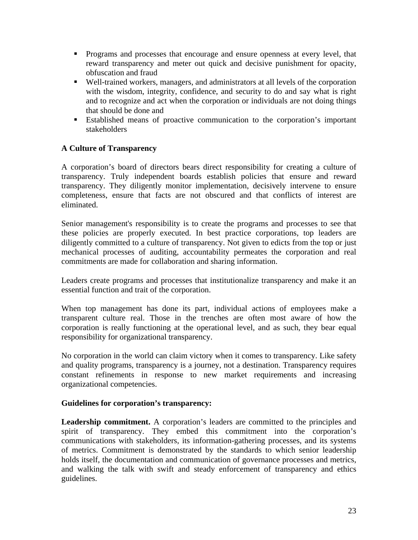- <span id="page-22-0"></span> Programs and processes that encourage and ensure openness at every level, that reward transparency and meter out quick and decisive punishment for opacity, obfuscation and fraud
- Well-trained workers, managers, and administrators at all levels of the corporation with the wisdom, integrity, confidence, and security to do and say what is right and to recognize and act when the corporation or individuals are not doing things that should be done and
- Established means of proactive communication to the corporation's important stakeholders

# **A Culture of Transparency**

A corporation's board of directors bears direct responsibility for creating a culture of transparency. Truly independent boards establish policies that ensure and reward transparency. They diligently monitor implementation, decisively intervene to ensure completeness, ensure that facts are not obscured and that conflicts of interest are eliminated.

Senior management's responsibility is to create the programs and processes to see that these policies are properly executed. In best practice corporations, top leaders are diligently committed to a culture of transparency. Not given to edicts from the top or just mechanical processes of auditing, accountability permeates the corporation and real commitments are made for collaboration and sharing information.

Leaders create programs and processes that institutionalize transparency and make it an essential function and trait of the corporation.

When top management has done its part, individual actions of employees make a transparent culture real. Those in the trenches are often most aware of how the corporation is really functioning at the operational level, and as such, they bear equal responsibility for organizational transparency.

No corporation in the world can claim victory when it comes to transparency. Like safety and quality programs, transparency is a journey, not a destination. Transparency requires constant refinements in response to new market requirements and increasing organizational competencies.

#### **Guidelines for corporation's transparency:**

**Leadership commitment.** A corporation's leaders are committed to the principles and spirit of transparency. They embed this commitment into the corporation's communications with stakeholders, its information-gathering processes, and its systems of metrics. Commitment is demonstrated by the standards to which senior leadership holds itself, the documentation and communication of governance processes and metrics, and walking the talk with swift and steady enforcement of transparency and ethics guidelines.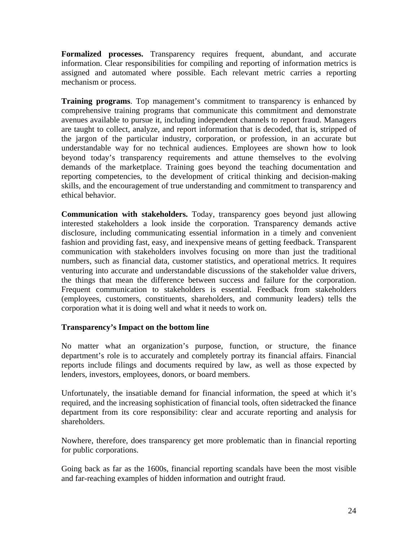<span id="page-23-0"></span>**Formalized processes.** Transparency requires frequent, abundant, and accurate information. Clear responsibilities for compiling and reporting of information metrics is assigned and automated where possible. Each relevant metric carries a reporting mechanism or process.

**Training programs**. Top management's commitment to transparency is enhanced by comprehensive training programs that communicate this commitment and demonstrate avenues available to pursue it, including independent channels to report fraud. Managers are taught to collect, analyze, and report information that is decoded, that is, stripped of the jargon of the particular industry, corporation, or profession, in an accurate but understandable way for no technical audiences. Employees are shown how to look beyond today's transparency requirements and attune themselves to the evolving demands of the marketplace. Training goes beyond the teaching documentation and reporting competencies, to the development of critical thinking and decision-making skills, and the encouragement of true understanding and commitment to transparency and ethical behavior.

**Communication with stakeholders.** Today, transparency goes beyond just allowing interested stakeholders a look inside the corporation. Transparency demands active disclosure, including communicating essential information in a timely and convenient fashion and providing fast, easy, and inexpensive means of getting feedback. Transparent communication with stakeholders involves focusing on more than just the traditional numbers, such as financial data, customer statistics, and operational metrics. It requires venturing into accurate and understandable discussions of the stakeholder value drivers, the things that mean the difference between success and failure for the corporation. Frequent communication to stakeholders is essential. Feedback from stakeholders (employees, customers, constituents, shareholders, and community leaders) tells the corporation what it is doing well and what it needs to work on.

#### **Transparency's Impact on the bottom line**

No matter what an organization's purpose, function, or structure, the finance department's role is to accurately and completely portray its financial affairs. Financial reports include filings and documents required by law, as well as those expected by lenders, investors, employees, donors, or board members.

Unfortunately, the insatiable demand for financial information, the speed at which it's required, and the increasing sophistication of financial tools, often sidetracked the finance department from its core responsibility: clear and accurate reporting and analysis for shareholders.

Nowhere, therefore, does transparency get more problematic than in financial reporting for public corporations.

Going back as far as the 1600s, financial reporting scandals have been the most visible and far-reaching examples of hidden information and outright fraud.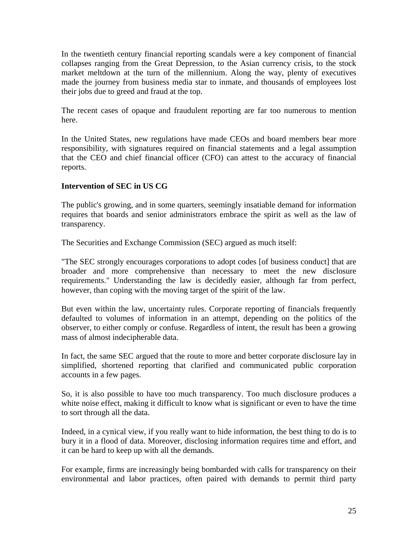<span id="page-24-0"></span>In the twentieth century financial reporting scandals were a key component of financial collapses ranging from the Great Depression, to the Asian currency crisis, to the stock market meltdown at the turn of the millennium. Along the way, plenty of executives made the journey from business media star to inmate, and thousands of employees lost their jobs due to greed and fraud at the top.

The recent cases of opaque and fraudulent reporting are far too numerous to mention here.

In the United States, new regulations have made CEOs and board members bear more responsibility, with signatures required on financial statements and a legal assumption that the CEO and chief financial officer (CFO) can attest to the accuracy of financial reports.

# **Intervention of SEC in US CG**

The public's growing, and in some quarters, seemingly insatiable demand for information requires that boards and senior administrators embrace the spirit as well as the law of transparency.

The Securities and Exchange Commission (SEC) argued as much itself:

"The SEC strongly encourages corporations to adopt codes [of business conduct] that are broader and more comprehensive than necessary to meet the new disclosure requirements." Understanding the law is decidedly easier, although far from perfect, however, than coping with the moving target of the spirit of the law.

But even within the law, uncertainty rules. Corporate reporting of financials frequently defaulted to volumes of information in an attempt, depending on the politics of the observer, to either comply or confuse. Regardless of intent, the result has been a growing mass of almost indecipherable data.

In fact, the same SEC argued that the route to more and better corporate disclosure lay in simplified, shortened reporting that clarified and communicated public corporation accounts in a few pages.

So, it is also possible to have too much transparency. Too much disclosure produces a white noise effect, making it difficult to know what is significant or even to have the time to sort through all the data.

Indeed, in a cynical view, if you really want to hide information, the best thing to do is to bury it in a flood of data. Moreover, disclosing information requires time and effort, and it can be hard to keep up with all the demands.

For example, firms are increasingly being bombarded with calls for transparency on their environmental and labor practices, often paired with demands to permit third party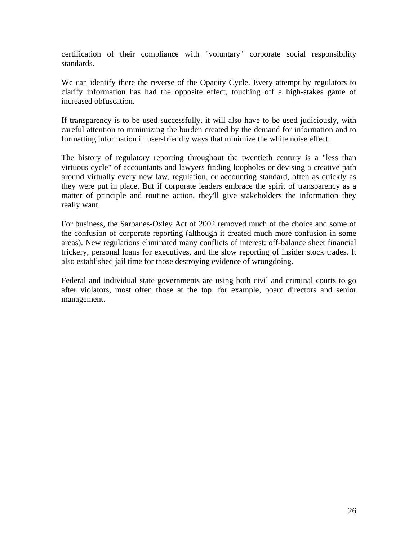certification of their compliance with "voluntary" corporate social responsibility standards.

We can identify there the reverse of the Opacity Cycle. Every attempt by regulators to clarify information has had the opposite effect, touching off a high-stakes game of increased obfuscation.

If transparency is to be used successfully, it will also have to be used judiciously, with careful attention to minimizing the burden created by the demand for information and to formatting information in user-friendly ways that minimize the white noise effect.

The history of regulatory reporting throughout the twentieth century is a "less than virtuous cycle" of accountants and lawyers finding loopholes or devising a creative path around virtually every new law, regulation, or accounting standard, often as quickly as they were put in place. But if corporate leaders embrace the spirit of transparency as a matter of principle and routine action, they'll give stakeholders the information they really want.

For business, the Sarbanes-Oxley Act of 2002 removed much of the choice and some of the confusion of corporate reporting (although it created much more confusion in some areas). New regulations eliminated many conflicts of interest: off-balance sheet financial trickery, personal loans for executives, and the slow reporting of insider stock trades. It also established jail time for those destroying evidence of wrongdoing.

Federal and individual state governments are using both civil and criminal courts to go after violators, most often those at the top, for example, board directors and senior management.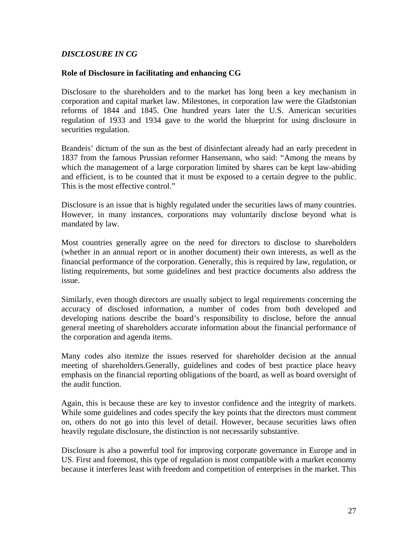## <span id="page-26-0"></span>*DISCLOSURE IN CG*

#### **Role of Disclosure in facilitating and enhancing CG**

Disclosure to the shareholders and to the market has long been a key mechanism in corporation and capital market law. Milestones, in corporation law were the Gladstonian reforms of 1844 and 1845. One hundred years later the U.S. American securities regulation of 1933 and 1934 gave to the world the blueprint for using disclosure in securities regulation.

Brandeis' dictum of the sun as the best of disinfectant already had an early precedent in 1837 from the famous Prussian reformer Hansemann, who said: "Among the means by which the management of a large corporation limited by shares can be kept law-abiding and efficient, is to be counted that it must be exposed to a certain degree to the public. This is the most effective control."

Disclosure is an issue that is highly regulated under the securities laws of many countries. However, in many instances, corporations may voluntarily disclose beyond what is mandated by law.

Most countries generally agree on the need for directors to disclose to shareholders (whether in an annual report or in another document) their own interests, as well as the financial performance of the corporation. Generally, this is required by law, regulation, or listing requirements, but some guidelines and best practice documents also address the issue.

Similarly, even though directors are usually subject to legal requirements concerning the accuracy of disclosed information, a number of codes from both developed and developing nations describe the board's responsibility to disclose, before the annual general meeting of shareholders accurate information about the financial performance of the corporation and agenda items.

Many codes also itemize the issues reserved for shareholder decision at the annual meeting of shareholders.Generally, guidelines and codes of best practice place heavy emphasis on the financial reporting obligations of the board, as well as board oversight of the audit function.

Again, this is because these are key to investor confidence and the integrity of markets. While some guidelines and codes specify the key points that the directors must comment on, others do not go into this level of detail. However, because securities laws often heavily regulate disclosure, the distinction is not necessarily substantive.

Disclosure is also a powerful tool for improving corporate governance in Europe and in US. First and foremost, this type of regulation is most compatible with a market economy because it interferes least with freedom and competition of enterprises in the market. This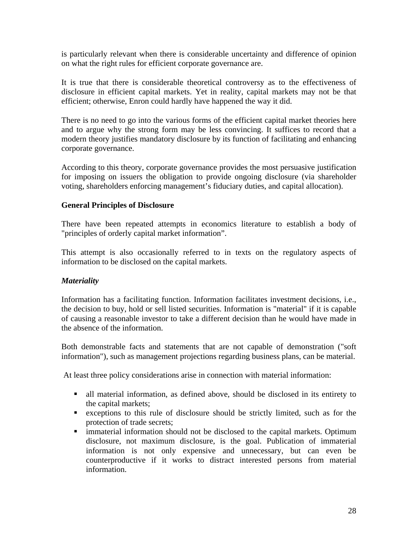<span id="page-27-0"></span>is particularly relevant when there is considerable uncertainty and difference of opinion on what the right rules for efficient corporate governance are.

It is true that there is considerable theoretical controversy as to the effectiveness of disclosure in efficient capital markets. Yet in reality, capital markets may not be that efficient; otherwise, Enron could hardly have happened the way it did.

There is no need to go into the various forms of the efficient capital market theories here and to argue why the strong form may be less convincing. It suffices to record that a modern theory justifies mandatory disclosure by its function of facilitating and enhancing corporate governance.

According to this theory, corporate governance provides the most persuasive justification for imposing on issuers the obligation to provide ongoing disclosure (via shareholder voting, shareholders enforcing management's fiduciary duties, and capital allocation).

#### **General Principles of Disclosure**

There have been repeated attempts in economics literature to establish a body of "principles of orderly capital market information".

This attempt is also occasionally referred to in texts on the regulatory aspects of information to be disclosed on the capital markets.

#### *Materiality*

Information has a facilitating function. Information facilitates investment decisions, i.e., the decision to buy, hold or sell listed securities. Information is "material" if it is capable of causing a reasonable investor to take a different decision than he would have made in the absence of the information.

Both demonstrable facts and statements that are not capable of demonstration ("soft information"), such as management projections regarding business plans, can be material.

At least three policy considerations arise in connection with material information:

- all material information, as defined above, should be disclosed in its entirety to the capital markets;
- exceptions to this rule of disclosure should be strictly limited, such as for the protection of trade secrets;
- **Information** should not be disclosed to the capital markets. Optimum disclosure, not maximum disclosure, is the goal. Publication of immaterial information is not only expensive and unnecessary, but can even be counterproductive if it works to distract interested persons from material information.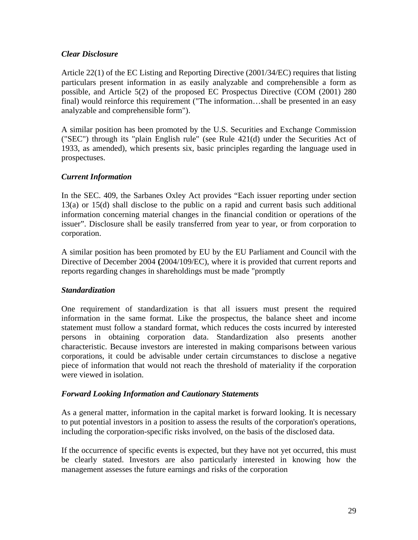#### *Clear Disclosure*

Article 22(1) of the EC Listing and Reporting Directive (2001/34/EC) requires that listing particulars present information in as easily analyzable and comprehensible a form as possible, and Article 5(2) of the proposed EC Prospectus Directive (COM (2001) 280 final) would reinforce this requirement ("The information...shall be presented in an easy analyzable and comprehensible form").

A similar position has been promoted by the U.S. Securities and Exchange Commission ("SEC") through its "plain English rule" (see Rule 421(d) under the Securities Act of 1933, as amended), which presents six, basic principles regarding the language used in prospectuses.

## *Current Information*

In the SEC. 409, the Sarbanes Oxley Act provides "Each issuer reporting under section 13(a) or 15(d) shall disclose to the public on a rapid and current basis such additional information concerning material changes in the financial condition or operations of the issuer". Disclosure shall be easily transferred from year to year, or from corporation to corporation.

A similar position has been promoted by EU by the EU Parliament and Council with the Directive of December 2004 **(**2004/109/EC), where it is provided that current reports and reports regarding changes in shareholdings must be made "promptly

## *Standardization*

One requirement of standardization is that all issuers must present the required information in the same format. Like the prospectus, the balance sheet and income statement must follow a standard format, which reduces the costs incurred by interested persons in obtaining corporation data. Standardization also presents another characteristic. Because investors are interested in making comparisons between various corporations, it could be advisable under certain circumstances to disclose a negative piece of information that would not reach the threshold of materiality if the corporation were viewed in isolation.

## *Forward Looking Information and Cautionary Statements*

As a general matter, information in the capital market is forward looking. It is necessary to put potential investors in a position to assess the results of the corporation's operations, including the corporation-specific risks involved, on the basis of the disclosed data.

If the occurrence of specific events is expected, but they have not yet occurred, this must be clearly stated. Investors are also particularly interested in knowing how the management assesses the future earnings and risks of the corporation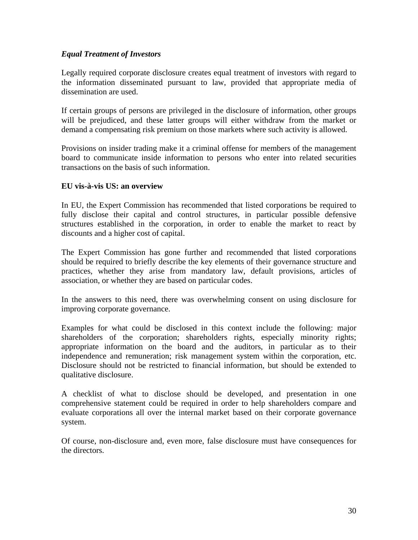#### <span id="page-29-0"></span>*Equal Treatment of Investors*

Legally required corporate disclosure creates equal treatment of investors with regard to the information disseminated pursuant to law, provided that appropriate media of dissemination are used.

If certain groups of persons are privileged in the disclosure of information, other groups will be prejudiced, and these latter groups will either withdraw from the market or demand a compensating risk premium on those markets where such activity is allowed.

Provisions on insider trading make it a criminal offense for members of the management board to communicate inside information to persons who enter into related securities transactions on the basis of such information.

#### **EU vis-à-vis US: an overview**

In EU, the Expert Commission has recommended that listed corporations be required to fully disclose their capital and control structures, in particular possible defensive structures established in the corporation, in order to enable the market to react by discounts and a higher cost of capital.

The Expert Commission has gone further and recommended that listed corporations should be required to briefly describe the key elements of their governance structure and practices, whether they arise from mandatory law, default provisions, articles of association, or whether they are based on particular codes.

In the answers to this need, there was overwhelming consent on using disclosure for improving corporate governance.

Examples for what could be disclosed in this context include the following: major shareholders of the corporation; shareholders rights, especially minority rights; appropriate information on the board and the auditors, in particular as to their independence and remuneration; risk management system within the corporation, etc. Disclosure should not be restricted to financial information, but should be extended to qualitative disclosure.

A checklist of what to disclose should be developed, and presentation in one comprehensive statement could be required in order to help shareholders compare and evaluate corporations all over the internal market based on their corporate governance system.

Of course, non-disclosure and, even more, false disclosure must have consequences for the directors.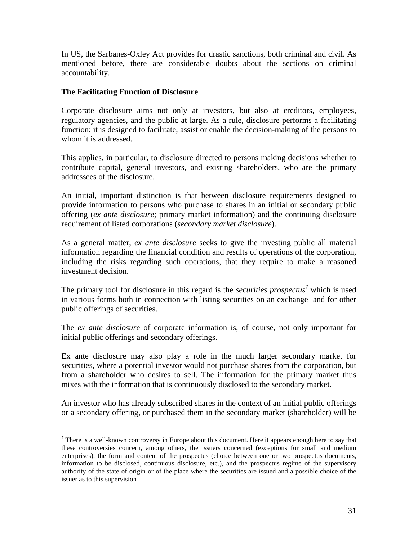<span id="page-30-0"></span>In US, the Sarbanes-Oxley Act provides for drastic sanctions, both criminal and civil. As mentioned before, there are considerable doubts about the sections on criminal accountability.

#### **The Facilitating Function of Disclosure**

<u>.</u>

Corporate disclosure aims not only at investors, but also at creditors, employees, regulatory agencies, and the public at large. As a rule, disclosure performs a facilitating function: it is designed to facilitate, assist or enable the decision-making of the persons to whom it is addressed.

This applies, in particular, to disclosure directed to persons making decisions whether to contribute capital, general investors, and existing shareholders, who are the primary addressees of the disclosure.

An initial, important distinction is that between disclosure requirements designed to provide information to persons who purchase to shares in an initial or secondary public offering (*ex ante disclosure*; primary market information) and the continuing disclosure requirement of listed corporations (*secondary market disclosure*).

As a general matter, *ex ante disclosure* seeks to give the investing public all material information regarding the financial condition and results of operations of the corporation, including the risks regarding such operations, that they require to make a reasoned investment decision.

The primary tool for disclosure in this regard is the *securities prospectus*<sup>[7](#page-30-1)</sup> which is used in various forms both in connection with listing securities on an exchange and for other public offerings of securities.

The *ex ante disclosure* of corporate information is, of course, not only important for initial public offerings and secondary offerings.

Ex ante disclosure may also play a role in the much larger secondary market for securities, where a potential investor would not purchase shares from the corporation, but from a shareholder who desires to sell. The information for the primary market thus mixes with the information that is continuously disclosed to the secondary market.

An investor who has already subscribed shares in the context of an initial public offerings or a secondary offering, or purchased them in the secondary market (shareholder) will be

<span id="page-30-1"></span> $<sup>7</sup>$  There is a well-known controversy in Europe about this document. Here it appears enough here to say that</sup> these controversies concern, among others, the issuers concerned (exceptions for small and medium enterprises), the form and content of the prospectus (choice between one or two prospectus documents, information to be disclosed, continuous disclosure, etc.), and the prospectus regime of the supervisory authority of the state of origin or of the place where the securities are issued and a possible choice of the issuer as to this supervision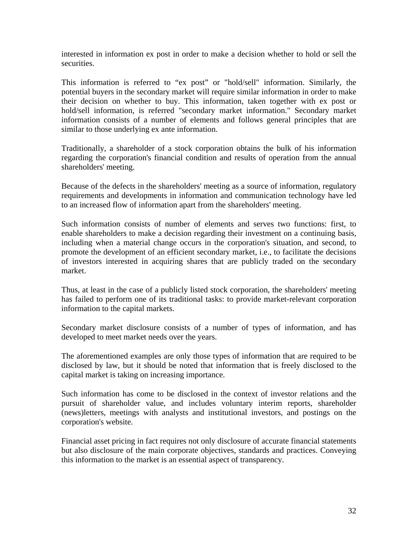interested in information ex post in order to make a decision whether to hold or sell the securities.

This information is referred to "ex post" or "hold/sell" information. Similarly, the potential buyers in the secondary market will require similar information in order to make their decision on whether to buy. This information, taken together with ex post or hold/sell information, is referred "secondary market information." Secondary market information consists of a number of elements and follows general principles that are similar to those underlying ex ante information.

Traditionally, a shareholder of a stock corporation obtains the bulk of his information regarding the corporation's financial condition and results of operation from the annual shareholders' meeting.

Because of the defects in the shareholders' meeting as a source of information, regulatory requirements and developments in information and communication technology have led to an increased flow of information apart from the shareholders' meeting.

Such information consists of number of elements and serves two functions: first, to enable shareholders to make a decision regarding their investment on a continuing basis, including when a material change occurs in the corporation's situation, and second, to promote the development of an efficient secondary market, i.e., to facilitate the decisions of investors interested in acquiring shares that are publicly traded on the secondary market.

Thus, at least in the case of a publicly listed stock corporation, the shareholders' meeting has failed to perform one of its traditional tasks: to provide market-relevant corporation information to the capital markets.

Secondary market disclosure consists of a number of types of information, and has developed to meet market needs over the years.

The aforementioned examples are only those types of information that are required to be disclosed by law, but it should be noted that information that is freely disclosed to the capital market is taking on increasing importance.

Such information has come to be disclosed in the context of investor relations and the pursuit of shareholder value, and includes voluntary interim reports, shareholder (news)letters, meetings with analysts and institutional investors, and postings on the corporation's website.

Financial asset pricing in fact requires not only disclosure of accurate financial statements but also disclosure of the main corporate objectives, standards and practices. Conveying this information to the market is an essential aspect of transparency.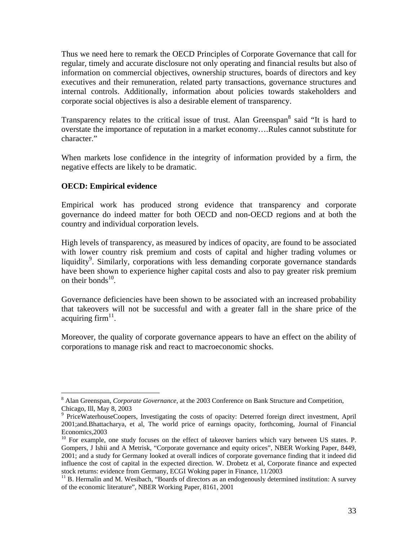<span id="page-32-0"></span>Thus we need here to remark the OECD Principles of Corporate Governance that call for regular, timely and accurate disclosure not only operating and financial results but also of information on commercial objectives, ownership structures, boards of directors and key executives and their remuneration, related party transactions, governance structures and internal controls. Additionally, information about policies towards stakeholders and corporate social objectives is also a desirable element of transparency.

Transparencyrelates to the critical issue of trust. Alan Greenspan<sup>8</sup> said "It is hard to overstate the importance of reputation in a market economy….Rules cannot substitute for character."

When markets lose confidence in the integrity of information provided by a firm, the negative effects are likely to be dramatic.

## **OECD: Empirical evidence**

 $\overline{a}$ 

Empirical work has produced strong evidence that transparency and corporate governance do indeed matter for both OECD and non-OECD regions and at both the country and individual corporation levels.

High levels of transparency, as measured by indices of opacity, are found to be associated with lower country risk premium and costs of capital and higher trading volumes or liquidity<sup>[9](#page-32-2)</sup>. Similarly, corporations with less demanding corporate governance standards have been shown to experience higher capital costs and also to pay greater risk premium on their bonds $10$ .

Governance deficiencies have been shown to be associated with an increased probability that takeovers will not be successful and with a greater fall in the share price of the acquiring firm $11$ .

Moreover, the quality of corporate governance appears to have an effect on the ability of corporations to manage risk and react to macroeconomic shocks.

<span id="page-32-1"></span><sup>&</sup>lt;sup>8</sup> Alan Greenspan, *Corporate Governance*, at the 2003 Conference on Bank Structure and Competition, Chicago, Ill, May 8, 2003

<span id="page-32-2"></span>PriceWaterhouseCoopers, Investigating the costs of opacity: Deterred foreign direct investment, April 2001;and.Bhattacharya, et al, The world price of earnings opacity, forthcoming, Journal of Financial Economics, 2003<br><sup>10</sup> For example, one study focuses on the effect of takeover barriers which vary between US states. P.

<span id="page-32-3"></span>Gompers, J Ishii and A Metrisk, "Corporate governance and equity orices", NBER Working Paper, 8449, 2001; and a study for Germany looked at overall indices of corporate governance finding that it indeed did influence the cost of capital in the expected direction. W. Drobetz et al, Corporate finance and expected stock returns: evidence from Germany, ECGI Woking paper in Finance, 11/2003<br><sup>11</sup> B. Hermalin and M. Wesibach, "Boards of directors as an endogenously determined institution: A survey

<span id="page-32-4"></span>of the economic literature", NBER Working Paper, 8161, 2001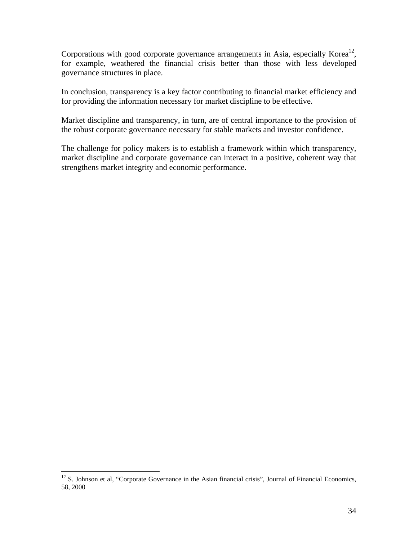Corporations with good corporate governance arrangements in Asia, especially Korea<sup>12</sup>, for example, weathered the financial crisis better than those with less developed governance structures in place.

In conclusion, transparency is a key factor contributing to financial market efficiency and for providing the information necessary for market discipline to be effective.

Market discipline and transparency, in turn, are of central importance to the provision of the robust corporate governance necessary for stable markets and investor confidence.

The challenge for policy makers is to establish a framework within which transparency, market discipline and corporate governance can interact in a positive, coherent way that strengthens market integrity and economic performance.

1

<span id="page-33-0"></span> $12$  S. Johnson et al, "Corporate Governance in the Asian financial crisis", Journal of Financial Economics, 58, 2000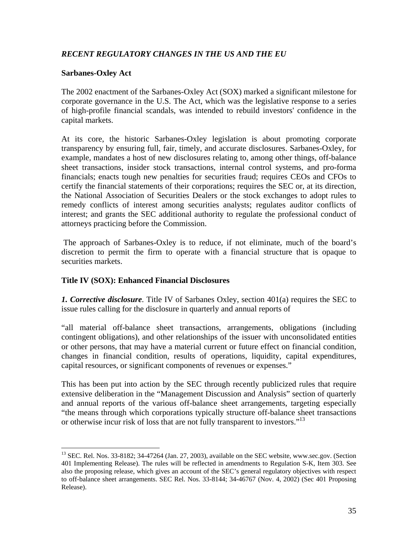# <span id="page-34-0"></span>*RECENT REGULATORY CHANGES IN THE US AND THE EU*

#### **Sarbanes-Oxley Act**

 $\overline{a}$ 

The 2002 enactment of the Sarbanes-Oxley Act (SOX) marked a significant milestone for corporate governance in the U.S. The Act, which was the legislative response to a series of high-profile financial scandals, was intended to rebuild investors' confidence in the capital markets.

At its core, the historic Sarbanes-Oxley legislation is about promoting corporate transparency by ensuring full, fair, timely, and accurate disclosures. Sarbanes-Oxley, for example, mandates a host of new disclosures relating to, among other things, off-balance sheet transactions, insider stock transactions, internal control systems, and pro-forma financials; enacts tough new penalties for securities fraud; requires CEOs and CFOs to certify the financial statements of their corporations; requires the SEC or, at its direction, the National Association of Securities Dealers or the stock exchanges to adopt rules to remedy conflicts of interest among securities analysts; regulates auditor conflicts of interest; and grants the SEC additional authority to regulate the professional conduct of attorneys practicing before the Commission.

The approach of Sarbanes-Oxley is to reduce, if not eliminate, much of the board's discretion to permit the firm to operate with a financial structure that is opaque to securities markets.

## **Title IV (SOX): Enhanced Financial Disclosures**

*1. Corrective disclosure*. Title IV of Sarbanes Oxley, section 401(a) requires the SEC to issue rules calling for the disclosure in quarterly and annual reports of

"all material off-balance sheet transactions, arrangements, obligations (including contingent obligations), and other relationships of the issuer with unconsolidated entities or other persons, that may have a material current or future effect on financial condition, changes in financial condition, results of operations, liquidity, capital expenditures, capital resources, or significant components of revenues or expenses."

This has been put into action by the SEC through recently publicized rules that require extensive deliberation in the "Management Discussion and Analysis" section of quarterly and annual reports of the various off-balance sheet arrangements, targeting especially "the means through which corporations typically structure off-balance sheet transactions or otherwise incur risk of loss that are not fully transparent to investors."<sup>[13](#page-34-1)</sup>

<span id="page-34-1"></span><sup>&</sup>lt;sup>13</sup> SEC. Rel. Nos. 33-8182; 34-47264 (Jan. 27, 2003), available on the SEC website, www.sec.gov. (Section 401 Implementing Release). The rules will be reflected in amendments to Regulation S-K, Item 303. See also the proposing release, which gives an account of the SEC's general regulatory objectives with respect to off-balance sheet arrangements. SEC Rel. Nos. 33-8144; 34-46767 (Nov. 4, 2002) (Sec 401 Proposing Release).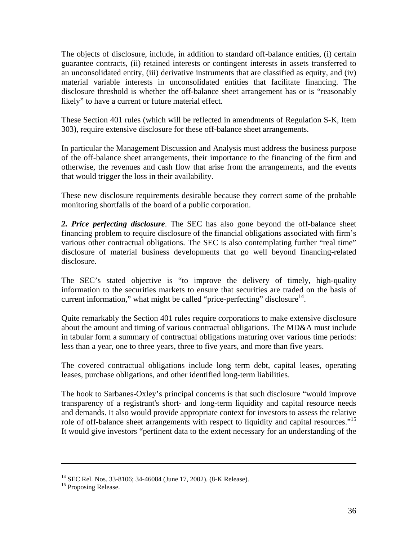The objects of disclosure, include, in addition to standard off-balance entities, (i) certain guarantee contracts, (ii) retained interests or contingent interests in assets transferred to an unconsolidated entity, (iii) derivative instruments that are classified as equity, and (iv) material variable interests in unconsolidated entities that facilitate financing. The disclosure threshold is whether the off-balance sheet arrangement has or is "reasonably likely" to have a current or future material effect.

These Section 401 rules (which will be reflected in amendments of Regulation S-K, Item 303), require extensive disclosure for these off-balance sheet arrangements.

In particular the Management Discussion and Analysis must address the business purpose of the off-balance sheet arrangements, their importance to the financing of the firm and otherwise, the revenues and cash flow that arise from the arrangements, and the events that would trigger the loss in their availability.

These new disclosure requirements desirable because they correct some of the probable monitoring shortfalls of the board of a public corporation.

*2. Price perfecting disclosure*. The SEC has also gone beyond the off-balance sheet financing problem to require disclosure of the financial obligations associated with firm's various other contractual obligations. The SEC is also contemplating further "real time" disclosure of material business developments that go well beyond financing-related disclosure.

The SEC's stated objective is "to improve the delivery of timely, high-quality information to the securities markets to ensure that securities are traded on the basis of current information," what might be called "price-perfecting" disclosure $^{14}$ .

Quite remarkably the Section 401 rules require corporations to make extensive disclosure about the amount and timing of various contractual obligations. The MD&A must include in tabular form a summary of contractual obligations maturing over various time periods: less than a year, one to three years, three to five years, and more than five years.

The covered contractual obligations include long term debt, capital leases, operating leases, purchase obligations, and other identified long-term liabilities.

The hook to Sarbanes-Oxley's principal concerns is that such disclosure "would improve transparency of a registrant's short- and long-term liquidity and capital resource needs and demands. It also would provide appropriate context for investors to assess the relative role of off-balance sheet arrangements with respect to liquidity and capital resources."<sup>[15](#page-35-1)</sup> It would give investors "pertinent data to the extent necessary for an understanding of the

1

<span id="page-35-0"></span><sup>&</sup>lt;sup>14</sup> SEC Rel. Nos. 33-8106; 34-46084 (June 17, 2002). (8-K Release). <sup>15</sup> Proposing Release.

<span id="page-35-1"></span>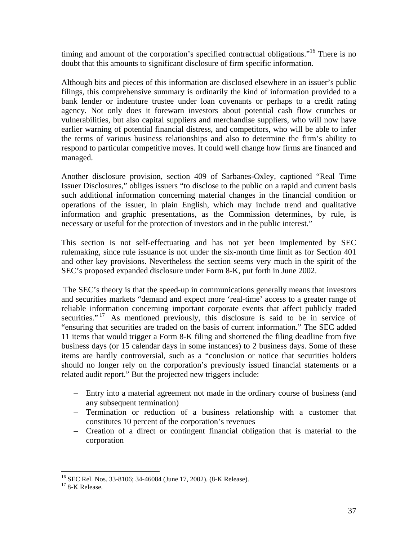timing and amount of the corporation's specified contractual obligations."<sup>16</sup> There is no doubt that this amounts to significant disclosure of firm specific information.

Although bits and pieces of this information are disclosed elsewhere in an issuer's public filings, this comprehensive summary is ordinarily the kind of information provided to a bank lender or indenture trustee under loan covenants or perhaps to a credit rating agency. Not only does it forewarn investors about potential cash flow crunches or vulnerabilities, but also capital suppliers and merchandise suppliers, who will now have earlier warning of potential financial distress, and competitors, who will be able to infer the terms of various business relationships and also to determine the firm's ability to respond to particular competitive moves. It could well change how firms are financed and managed.

Another disclosure provision, section 409 of Sarbanes-Oxley, captioned "Real Time Issuer Disclosures," obliges issuers "to disclose to the public on a rapid and current basis such additional information concerning material changes in the financial condition or operations of the issuer, in plain English, which may include trend and qualitative information and graphic presentations, as the Commission determines, by rule, is necessary or useful for the protection of investors and in the public interest."

This section is not self-effectuating and has not yet been implemented by SEC rulemaking, since rule issuance is not under the six-month time limit as for Section 401 and other key provisions. Nevertheless the section seems very much in the spirit of the SEC's proposed expanded disclosure under Form 8-K, put forth in June 2002.

The SEC's theory is that the speed-up in communications generally means that investors and securities markets "demand and expect more 'real-time' access to a greater range of reliable information concerning important corporate events that affect publicly traded securities."<sup>17</sup> As mentioned previously, this disclosure is said to be in service of "ensuring that securities are traded on the basis of current information." The SEC added 11 items that would trigger a Form 8-K filing and shortened the filing deadline from five business days (or 15 calendar days in some instances) to 2 business days. Some of these items are hardly controversial, such as a "conclusion or notice that securities holders should no longer rely on the corporation's previously issued financial statements or a related audit report." But the projected new triggers include:

- Entry into a material agreement not made in the ordinary course of business (and any subsequent termination)
- Termination or reduction of a business relationship with a customer that constitutes 10 percent of the corporation's revenues
- Creation of a direct or contingent financial obligation that is material to the corporation

1

<span id="page-36-0"></span><sup>&</sup>lt;sup>16</sup> SEC Rel. Nos. 33-8106; 34-46084 (June 17, 2002). (8-K Release). <sup>17</sup> 8-K Release.

<span id="page-36-1"></span>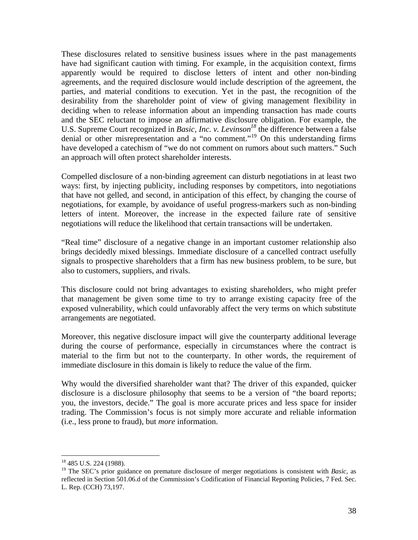These disclosures related to sensitive business issues where in the past managements have had significant caution with timing. For example, in the acquisition context, firms apparently would be required to disclose letters of intent and other non-binding agreements, and the required disclosure would include description of the agreement, the parties, and material conditions to execution. Yet in the past, the recognition of the desirability from the shareholder point of view of giving management flexibility in deciding when to release information about an impending transaction has made courts and the SEC reluctant to impose an affirmative disclosure obligation. For example, the U.S. Supreme Court recognized in *Basic, Inc. v. Levinson*<sup>18</sup> the difference between a false denial or other misrepresentation and a "no comment."[19](#page-37-1) On this understanding firms have developed a catechism of "we do not comment on rumors about such matters." Such an approach will often protect shareholder interests.

Compelled disclosure of a non-binding agreement can disturb negotiations in at least two ways: first, by injecting publicity, including responses by competitors, into negotiations that have not gelled, and second, in anticipation of this effect, by changing the course of negotiations, for example, by avoidance of useful progress-markers such as non-binding letters of intent. Moreover, the increase in the expected failure rate of sensitive negotiations will reduce the likelihood that certain transactions will be undertaken.

"Real time" disclosure of a negative change in an important customer relationship also brings decidedly mixed blessings. Immediate disclosure of a cancelled contract usefully signals to prospective shareholders that a firm has new business problem, to be sure, but also to customers, suppliers, and rivals.

This disclosure could not bring advantages to existing shareholders, who might prefer that management be given some time to try to arrange existing capacity free of the exposed vulnerability, which could unfavorably affect the very terms on which substitute arrangements are negotiated.

Moreover, this negative disclosure impact will give the counterparty additional leverage during the course of performance, especially in circumstances where the contract is material to the firm but not to the counterparty. In other words, the requirement of immediate disclosure in this domain is likely to reduce the value of the firm.

Why would the diversified shareholder want that? The driver of this expanded, quicker disclosure is a disclosure philosophy that seems to be a version of "the board reports; you, the investors, decide." The goal is more accurate prices and less space for insider trading. The Commission's focus is not simply more accurate and reliable information (i.e., less prone to fraud), but *more* information.

<u>.</u>

<span id="page-37-0"></span><sup>&</sup>lt;sup>18</sup> 485 U.S. 224 (1988).

<span id="page-37-1"></span><sup>&</sup>lt;sup>19</sup> The SEC's prior guidance on premature disclosure of merger negotiations is consistent with *Basic*, as reflected in Section 501.06.d of the Commission's Codification of Financial Reporting Policies, 7 Fed. Sec. L. Rep. (CCH) 73,197.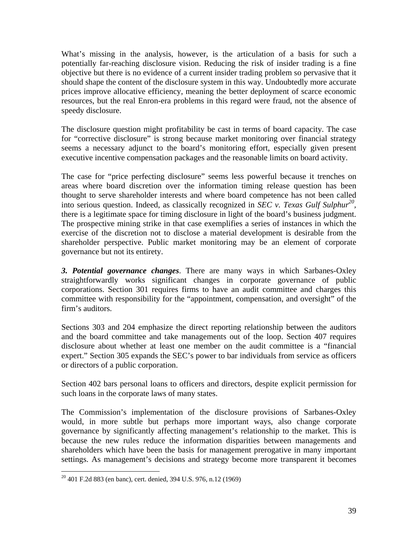What's missing in the analysis, however, is the articulation of a basis for such a potentially far-reaching disclosure vision. Reducing the risk of insider trading is a fine objective but there is no evidence of a current insider trading problem so pervasive that it should shape the content of the disclosure system in this way. Undoubtedly more accurate prices improve allocative efficiency, meaning the better deployment of scarce economic resources, but the real Enron-era problems in this regard were fraud, not the absence of speedy disclosure.

The disclosure question might profitability be cast in terms of board capacity. The case for "corrective disclosure" is strong because market monitoring over financial strategy seems a necessary adjunct to the board's monitoring effort, especially given present executive incentive compensation packages and the reasonable limits on board activity.

The case for "price perfecting disclosure" seems less powerful because it trenches on areas where board discretion over the information timing release question has been thought to serve shareholder interests and where board competence has not been called into serious question. Indeed, as classically recognized in *SEC v. Texas Gulf Sulphur [20,](#page-38-0)*  there is a legitimate space for timing disclosure in light of the board's business judgment. The prospective mining strike in that case exemplifies a series of instances in which the exercise of the discretion not to disclose a material development is desirable from the shareholder perspective. Public market monitoring may be an element of corporate governance but not its entirety.

*3. Potential governance changes*. There are many ways in which Sarbanes-Oxley straightforwardly works significant changes in corporate governance of public corporations. Section 301 requires firms to have an audit committee and charges this committee with responsibility for the "appointment, compensation, and oversight" of the firm's auditors.

Sections 303 and 204 emphasize the direct reporting relationship between the auditors and the board committee and take managements out of the loop. Section 407 requires disclosure about whether at least one member on the audit committee is a "financial expert." Section 305 expands the SEC's power to bar individuals from service as officers or directors of a public corporation.

Section 402 bars personal loans to officers and directors, despite explicit permission for such loans in the corporate laws of many states.

The Commission's implementation of the disclosure provisions of Sarbanes-Oxley would, in more subtle but perhaps more important ways, also change corporate governance by significantly affecting management's relationship to the market. This is because the new rules reduce the information disparities between managements and shareholders which have been the basis for management prerogative in many important settings. As management's decisions and strategy become more transparent it becomes

1

<span id="page-38-0"></span><sup>&</sup>lt;sup>20</sup> 401 F.2d 883 (en banc), cert. denied, 394 U.S. 976, n.12 (1969)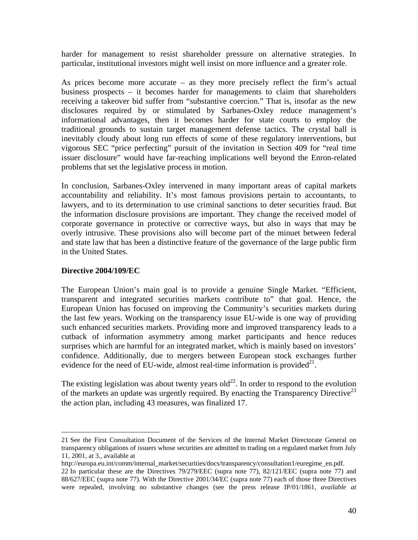<span id="page-39-0"></span>harder for management to resist shareholder pressure on alternative strategies. In particular, institutional investors might well insist on more influence and a greater role.

As prices become more accurate – as they more precisely reflect the firm's actual business prospects – it becomes harder for managements to claim that shareholders receiving a takeover bid suffer from "substantive coercion." That is, insofar as the new disclosures required by or stimulated by Sarbanes-Oxley reduce management's informational advantages, then it becomes harder for state courts to employ the traditional grounds to sustain target management defense tactics. The crystal ball is inevitably cloudy about long run effects of some of these regulatory interventions, but vigorous SEC "price perfecting" pursuit of the invitation in Section 409 for "real time issuer disclosure" would have far-reaching implications well beyond the Enron-related problems that set the legislative process in motion.

<span id="page-39-3"></span>In conclusion, Sarbanes-Oxley intervened in many important areas of capital markets accountability and reliability. It's most famous provisions pertain to accountants, to lawyers, and to its determination to use criminal sanctions to deter securities fraud. But the information disclosure provisions are important. They change the received model of corporate governance in protective or corrective ways, but also in ways that may be overly intrusive. These provisions also will become part of the minuet between federal and state law that has been a distinctive feature of the governance of the large public firm in the United States.

#### **Directive 2004/109/EC**

<u>.</u>

The European Union's main goal is to provide a genuine Single Market. "Efficient, transparent and integrated securities markets contribute to" that goal. Hence, the European Union has focused on improving the Community's securities markets during the last few years. Working on the transparency issue EU-wide is one way of providing such enhanced securities markets. Providing more and improved transparency leads to a cutback of information asymmetry among market participants and hence reduces surprises which are harmful for an integrated market, which is mainly based on investors' confidence. Additionally, due to mergers between European stock exchanges further evidence for the need of EU-wide, almost real-time information is provided<sup>21</sup>.

The existing legislation was about twenty years  $\delta d^{22}$ . In order to respond to the evolution of the markets an update was urgently required. By enacting the Transparency Directive<sup>23</sup> the action plan, including 43 measures, was finalized 17.

<span id="page-39-1"></span><sup>21</sup> See the First Consultation Document of the Services of the Internal Market Directorate General on transparency obligations of issuers whose securities are admitted to trading on a regulated market from July 11, 2001, at 3., available at

http://europa.eu.int/comm/internal\_market/securities/docs/transparency/consultation1/euregime\_en.pdf.

<span id="page-39-2"></span><sup>22</sup> In particular these are the Directives 79/279/EEC (supra note 77), 82/121/EEC (supra note 77) and 88/627/EEC (supra note 77). With the Directive 2001/34/EC (supra note 77) each of those three Directives were repealed, involving no substantive changes (see the press release IP/01/1861, *available at*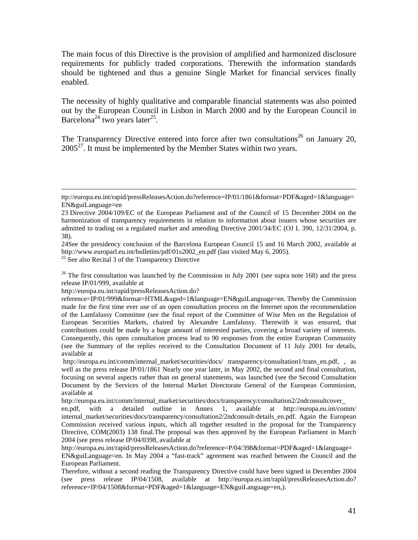The main focus of this Directive is the provision of amplified and harmonized disclosure requirements for publicly traded corporations. Therewith the information standards should be tightened and thus a genuine Single Market for financial services finally enabled.

The necessity of highly qualitative and comparable financial statements was also pointed out by the European Council in Lisbon in March 2000 and by the European Council in Barcelona<sup>24</sup> two years later<sup>25</sup>.

The Transparency Directive entered into force after two consultations<sup>26</sup> on January 20,  $2005^{27}$ . It must be implemented by the Member States within two years.

<span id="page-40-1"></span>

http://europa.eu.int/rapid/pressReleasesAction.do?

ttp://europa.eu.int/rapid/pressReleasesAction.do?reference=IP/01/1861&format=PDF&aged=1&language= EN&guiLanguage=en

<sup>23</sup> Directive 2004/109/EC of the European Parliament and of the Council of 15 December 2004 on the harmonization of transparency requirements in relation to information about issuers whose securities are admitted to trading on a regulated market and amending Directive 2001/34/EC (OJ L 390, 12/31/2004, p. 38).

<span id="page-40-0"></span><sup>24</sup>See the presidency conclusion of the Barcelona European Council 15 and 16 March 2002, available at http://www.europarl.eu.int/bulletins/pdf/01s2002\_en.pdf (last visited May 6, 2005).<br><sup>25</sup> See also Recital 3 of the Transparency Directive

<span id="page-40-2"></span> $26$  The first consultation was launched by the Commission in July 2001 (see supra note 168) and the press release IP/01/999, available at

reference=IP/01/999&format=HTML&aged=1&language=EN&guiLanguage=en. Thereby the Commission made for the first time ever use of an open consultation process on the Internet upon the recommendation of the Lamfalussy Committee (see the final report of the Committee of Wise Men on the Regulation of European Securities Markets, chaired by Alexandre Lamfalussy. Therewith it was ensured, that contributions could be made by a huge amount of interested parties, covering a broad variety of interests. Consequently, this open consultation process lead to 90 responses from the entire European Community (see the Summary of the replies received to the Consultation Document of 11 July 2001 for details, available at

http://europa.eu.int/comm/internal\_market/securities/docs/ transparency/consultation1/trans\_en.pdf, , as well as the press release IP/01/1861 Nearly one year later, in May 2002, the second and final consultation, focusing on several aspects rather than on general statements, was launched (see the Second Consultation Document by the Services of the Internal Market Directorate General of the European Commission, available at

http://europa.eu.int/comm/internal\_market/securities/docs/transparency/consultation2/2ndconsultcover\_

en.pdf, with a detailed outline in Annex 1, available at http://europa.eu.int/comm/ internal\_market/securities/docs/transparency/consultation2/2ndconsult-details\_en.pdf. Again the European Commission received various inputs, which all together resulted in the proposal for the Transparency Directive, COM(2003) 138 final.The proposal was then approved by the European Parliament in March 2004 (see press release IP/04/0398, available at

<span id="page-40-3"></span>http://europa.eu.int/rapid/pressReleasesAction.do?reference=P/04/398&format=PDF&aged=1&language= EN&guiLanguage=en. In May 2004 a "fast-track" agreement was reached between the Council and the European Parliament.

Therefore, without a second reading the Transparency Directive could have been signed in December 2004 (see press release IP/04/1508, available at http://europa.eu.int/rapid/pressReleasesAction.do? reference=IP/04/1508&format=PDF&aged=1&language=EN&guiLanguage=en,).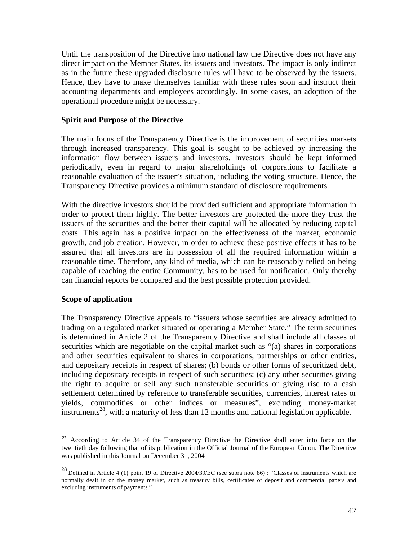<span id="page-41-0"></span>Until the transposition of the Directive into national law the Directive does not have any direct impact on the Member States, its issuers and investors. The impact is only indirect as in the future these upgraded disclosure rules will have to be observed by the issuers. Hence, they have to make themselves familiar with these rules soon and instruct their accounting departments and employees accordingly. In some cases, an adoption of the operational procedure might be necessary.

#### **Spirit and Purpose of the Directive**

The main focus of the Transparency Directive is the improvement of securities markets through increased transparency. This goal is sought to be achieved by increasing the information flow between issuers and investors. Investors should be kept informed periodically, even in regard to major shareholdings of corporations to facilitate a reasonable evaluation of the issuer's situation, including the voting structure. Hence, the Transparency Directive provides a minimum standard of disclosure requirements.

With the directive investors should be provided sufficient and appropriate information in order to protect them highly. The better investors are protected the more they trust the issuers of the securities and the better their capital will be allocated by reducing capital costs. This again has a positive impact on the effectiveness of the market, economic growth, and job creation. However, in order to achieve these positive effects it has to be assured that all investors are in possession of all the required information within a reasonable time. Therefore, any kind of media, which can be reasonably relied on being capable of reaching the entire Community, has to be used for notification. Only thereby can financial reports be compared and the best possible protection provided.

#### **Scope of application**

The Transparency Directive appeals to "issuers whose securities are already admitted to trading on a regulated market situated or operating a Member State." The term securities is determined in Article 2 of the Transparency Directive and shall include all classes of securities which are negotiable on the capital market such as "(a) shares in corporations and other securities equivalent to shares in corporations, partnerships or other entities, and depositary receipts in respect of shares; (b) bonds or other forms of securitized debt, including depositary receipts in respect of such securities; (c) any other securities giving the right to acquire or sell any such transferable securities or giving rise to a cash settlement determined by reference to transferable securities, currencies, interest rates or yields, commodities or other indices or measures", excluding money-market instruments<sup>28</sup>, with a maturity of less than 12 months and national legislation applicable.

<sup>&</sup>lt;sup>27</sup> According to Article 34 of the Transparency Directive the Directive shall enter into force on the twentieth day following that of its publication in the Official Journal of the European Union. The Directive was published in this Journal on December 31, 2004

<span id="page-41-1"></span><sup>&</sup>lt;sup>28</sup> Defined in Article 4 (1) point 19 of Directive 2004/39/EC (see supra note 86) : "Classes of instruments which are normally dealt in on the money market, such as treasury bills, certificates of deposit and commercial papers and excluding instruments of payments."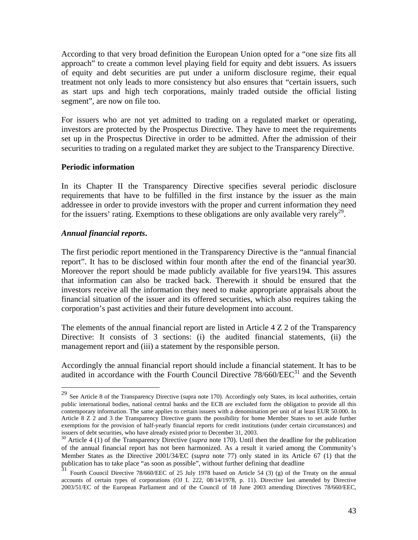<span id="page-42-0"></span>According to that very broad definition the European Union opted for a "one size fits all approach" to create a common level playing field for equity and debt issuers. As issuers of equity and debt securities are put under a uniform disclosure regime, their equal treatment not only leads to more consistency but also ensures that "certain issuers, such as start ups and high tech corporations, mainly traded outside the official listing segment", are now on file too.

For issuers who are not yet admitted to trading on a regulated market or operating, investors are protected by the Prospectus Directive. They have to meet the requirements set up in the Prospectus Directive in order to be admitted. After the admission of their securities to trading on a regulated market they are subject to the Transparency Directive.

#### **Periodic information**

In its Chapter II the Transparency Directive specifies several periodic disclosure requirements that have to be fulfilled in the first instance by the issuer as the main addressee in order to provide investors with the proper and current information they need for the issuers' rating. Exemptions to these obligations are only available very rarely<sup>29</sup>.

#### *Annual financial reports***.**

 $\overline{a}$ 

The first periodic report mentioned in the Transparency Directive is the "annual financial report". It has to be disclosed within four month after the end of the financial yea[r30.](#page-42-2) Moreover the report should be made publicly available for five years194. This assures that information can also be tracked back. Therewith it should be ensured that the investors receive all the information they need to make appropriate appraisals about the financial situation of the issuer and its offered securities, which also requires taking the corporation's past activities and their future development into account.

The elements of the annual financial report are listed in Article 4 Z 2 of the Transparency Directive: It consists of 3 sections: (i) the audited financial statements, (ii) the management report and (iii) a statement by the responsible person.

Accordingly the annual financial report should include a financial statement. It has to be audited in accordance with the Fourth Council Directive  $78/660/EEC^{31}$  and the Seventh

<span id="page-42-1"></span> $29$  See Article 8 of the Transparency Directive (supra note 170). Accordingly only States, its local authorities, certain public international bodies, national central banks and the ECB are excluded form the obligation to provide all this contemporary information. The same applies to certain issuers with a denomination per unit of at least EUR 50.000. In Article 8 Z 2 and 3 the Transparency Directive grants the possibility for home Member States to set aside further exemptions for the provision of half-yearly financial reports for credit institutions (under certain circumstances) and issuers of debt securities, who have already existed prior to December 31, 2003.

<span id="page-42-2"></span><sup>&</sup>lt;sup>30</sup> Article 4 (1) of the Transparency Directive (*supra* note 170). Until then the deadline for the publication of the annual financial report has not been harmonized. As a result it varied among the Community's Member States as the Directive 2001/34/EC (*supra* note 77) only stated in its Article 67 (1) that the publication has to take place "as soon as possible", without further defining that deadline

<span id="page-42-3"></span> $31$  Fourth Council Directive 78/660/EEC of 25 July 1978 based on Article 54 (3) (g) of the Treaty on the annual accounts of certain types of corporations (OJ L 222, 08/14/1978, p. 11). Directive last amended by Directive 2003/51/EC of the European Parliament and of the Council of 18 June 2003 amending Directives 78/660/EEC,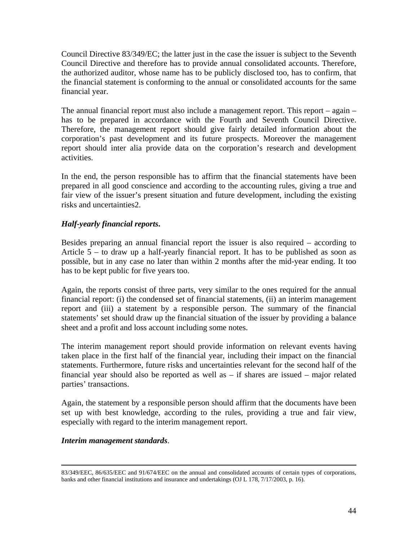Council Directive 83/349/EC; the latter just in the case the issuer is subject to the Seventh Council Directive and therefore has to provide annual consolidated accounts. Therefore, the authorized auditor, whose name has to be publicly disclosed too, has to confirm, that the financial statement is conforming to the annual or consolidated accounts for the same financial year.

The annual financial report must also include a management report. This report – again – has to be prepared in accordance with the Fourth and Seventh Council Directive. Therefore, the management report should give fairly detailed information about the corporation's past development and its future prospects. Moreover the management report should inter alia provide data on the corporation's research and development activities.

In the end, the person responsible has to affirm that the financial statements have been prepared in all good conscience and according to the accounting rules, giving a true and fair view of the issuer's present situation and future development, including the existing risks and uncertainties2.

# *Half-yearly financial reports***.**

Besides preparing an annual financial report the issuer is also required – according to Article 5 – to draw up a half-yearly financial report. It has to be published as soon as possible, but in any case no later than within 2 months after the mid-year ending. It too has to be kept public for five years too.

Again, the reports consist of three parts, very similar to the ones required for the annual financial report: (i) the condensed set of financial statements, (ii) an interim management report and (iii) a statement by a responsible person. The summary of the financial statements' set should draw up the financial situation of the issuer by providing a balance sheet and a profit and loss account including some notes.

The interim management report should provide information on relevant events having taken place in the first half of the financial year, including their impact on the financial statements. Furthermore, future risks and uncertainties relevant for the second half of the financial year should also be reported as well as – if shares are issued – major related parties' transactions.

Again, the statement by a responsible person should affirm that the documents have been set up with best knowledge, according to the rules, providing a true and fair view, especially with regard to the interim management report.

## *Interim management standards*.

 <sup>83/349/</sup>EEC, 86/635/EEC and 91/674/EEC on the annual and consolidated accounts of certain types of corporations, banks and other financial institutions and insurance and undertakings (OJ L 178, 7/17/2003, p. 16).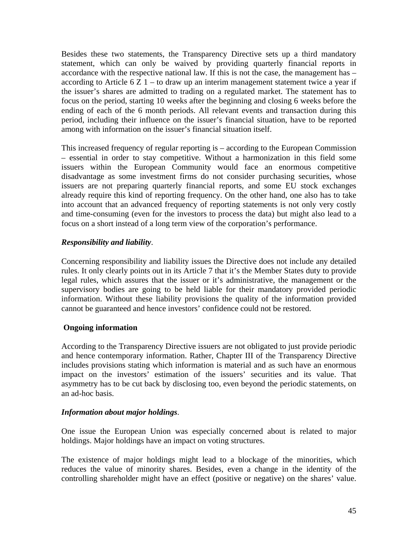<span id="page-44-0"></span>Besides these two statements, the Transparency Directive sets up a third mandatory statement, which can only be waived by providing quarterly financial reports in accordance with the respective national law. If this is not the case, the management has – according to Article  $6 \times 1$  – to draw up an interim management statement twice a year if the issuer's shares are admitted to trading on a regulated market. The statement has to focus on the period, starting 10 weeks after the beginning and closing 6 weeks before the ending of each of the 6 month periods. All relevant events and transaction during this period, including their influence on the issuer's financial situation, have to be reported among with information on the issuer's financial situation itself.

This increased frequency of regular reporting is – according to the European Commission – essential in order to stay competitive. Without a harmonization in this field some issuers within the European Community would face an enormous competitive disadvantage as some investment firms do not consider purchasing securities, whose issuers are not preparing quarterly financial reports, and some EU stock exchanges already require this kind of reporting frequency. On the other hand, one also has to take into account that an advanced frequency of reporting statements is not only very costly and time-consuming (even for the investors to process the data) but might also lead to a focus on a short instead of a long term view of the corporation's performance.

# *Responsibility and liability*.

Concerning responsibility and liability issues the Directive does not include any detailed rules. It only clearly points out in its Article 7 that it's the Member States duty to provide legal rules, which assures that the issuer or it's administrative, the management or the supervisory bodies are going to be held liable for their mandatory provided periodic information. Without these liability provisions the quality of the information provided cannot be guaranteed and hence investors' confidence could not be restored.

## **Ongoing information**

According to the Transparency Directive issuers are not obligated to just provide periodic and hence contemporary information. Rather, Chapter III of the Transparency Directive includes provisions stating which information is material and as such have an enormous impact on the investors' estimation of the issuers' securities and its value. That asymmetry has to be cut back by disclosing too, even beyond the periodic statements, on an ad-hoc basis.

## *Information about major holdings*.

One issue the European Union was especially concerned about is related to major holdings. Major holdings have an impact on voting structures.

The existence of major holdings might lead to a blockage of the minorities, which reduces the value of minority shares. Besides, even a change in the identity of the controlling shareholder might have an effect (positive or negative) on the shares' value.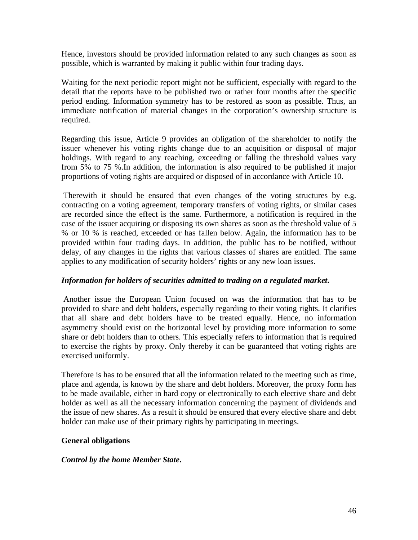<span id="page-45-0"></span>Hence, investors should be provided information related to any such changes as soon as possible, which is warranted by making it public within four trading days.

Waiting for the next periodic report might not be sufficient, especially with regard to the detail that the reports have to be published two or rather four months after the specific period ending. Information symmetry has to be restored as soon as possible. Thus, an immediate notification of material changes in the corporation's ownership structure is required.

Regarding this issue, Article 9 provides an obligation of the shareholder to notify the issuer whenever his voting rights change due to an acquisition or disposal of major holdings. With regard to any reaching, exceeding or falling the threshold values vary from 5% to 75 %.In addition, the information is also required to be published if major proportions of voting rights are acquired or disposed of in accordance with Article 10.

Therewith it should be ensured that even changes of the voting structures by e.g. contracting on a voting agreement, temporary transfers of voting rights, or similar cases are recorded since the effect is the same. Furthermore, a notification is required in the case of the issuer acquiring or disposing its own shares as soon as the threshold value of 5 % or 10 % is reached, exceeded or has fallen below. Again, the information has to be provided within four trading days. In addition, the public has to be notified, without delay, of any changes in the rights that various classes of shares are entitled. The same applies to any modification of security holders' rights or any new loan issues.

#### *Information for holders of securities admitted to trading on a regulated market***.**

Another issue the European Union focused on was the information that has to be provided to share and debt holders, especially regarding to their voting rights. It clarifies that all share and debt holders have to be treated equally. Hence, no information asymmetry should exist on the horizontal level by providing more information to some share or debt holders than to others. This especially refers to information that is required to exercise the rights by proxy. Only thereby it can be guaranteed that voting rights are exercised uniformly.

Therefore is has to be ensured that all the information related to the meeting such as time, place and agenda, is known by the share and debt holders. Moreover, the proxy form has to be made available, either in hard copy or electronically to each elective share and debt holder as well as all the necessary information concerning the payment of dividends and the issue of new shares. As a result it should be ensured that every elective share and debt holder can make use of their primary rights by participating in meetings.

#### **General obligations**

#### *Control by the home Member State***.**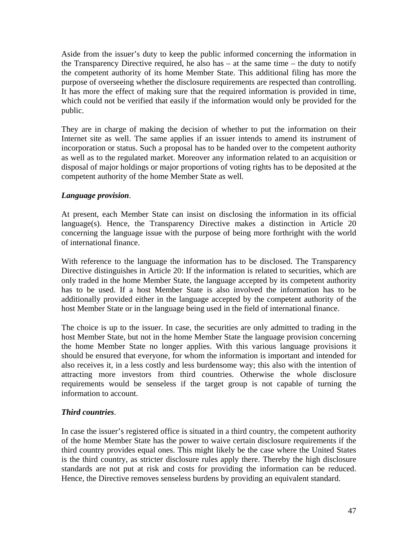Aside from the issuer's duty to keep the public informed concerning the information in the Transparency Directive required, he also has – at the same time – the duty to notify the competent authority of its home Member State. This additional filing has more the purpose of overseeing whether the disclosure requirements are respected than controlling. It has more the effect of making sure that the required information is provided in time, which could not be verified that easily if the information would only be provided for the public.

They are in charge of making the decision of whether to put the information on their Internet site as well. The same applies if an issuer intends to amend its instrument of incorporation or status. Such a proposal has to be handed over to the competent authority as well as to the regulated market. Moreover any information related to an acquisition or disposal of major holdings or major proportions of voting rights has to be deposited at the competent authority of the home Member State as well.

## *Language provision*.

At present, each Member State can insist on disclosing the information in its official language(s). Hence, the Transparency Directive makes a distinction in Article 20 concerning the language issue with the purpose of being more forthright with the world of international finance.

With reference to the language the information has to be disclosed. The Transparency Directive distinguishes in Article 20: If the information is related to securities, which are only traded in the home Member State, the language accepted by its competent authority has to be used. If a host Member State is also involved the information has to be additionally provided either in the language accepted by the competent authority of the host Member State or in the language being used in the field of international finance.

The choice is up to the issuer. In case, the securities are only admitted to trading in the host Member State, but not in the home Member State the language provision concerning the home Member State no longer applies. With this various language provisions it should be ensured that everyone, for whom the information is important and intended for also receives it, in a less costly and less burdensome way; this also with the intention of attracting more investors from third countries. Otherwise the whole disclosure requirements would be senseless if the target group is not capable of turning the information to account.

# *Third countries*.

In case the issuer's registered office is situated in a third country, the competent authority of the home Member State has the power to waive certain disclosure requirements if the third country provides equal ones. This might likely be the case where the United States is the third country, as stricter disclosure rules apply there. Thereby the high disclosure standards are not put at risk and costs for providing the information can be reduced. Hence, the Directive removes senseless burdens by providing an equivalent standard.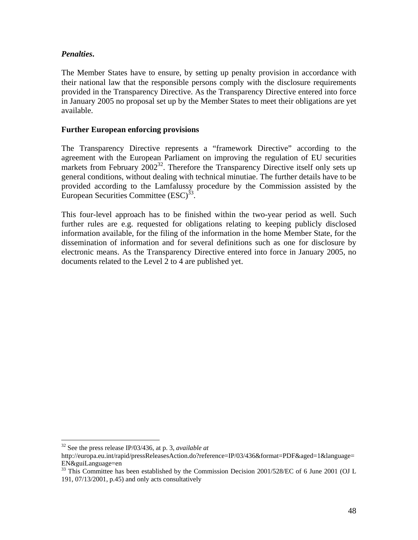## <span id="page-47-0"></span>*Penalties***.**

The Member States have to ensure, by setting up penalty provision in accordance with their national law that the responsible persons comply with the disclosure requirements provided in the Transparency Directive. As the Transparency Directive entered into force in January 2005 no proposal set up by the Member States to meet their obligations are yet available.

#### **Further European enforcing provisions**

The Transparency Directive represents a "framework Directive" according to the agreement with the European Parliament on improving the regulation of EU securities markets from February  $2002^{32}$ . Therefore the Transparency Directive itself only sets up general conditions, without dealing with technical minutiae. The further details have to be provided according to the Lamfalussy procedure by the Commission assisted by the European Securities Committee (ESC)<sup>33</sup>.

This four-level approach has to be finished within the two-year period as well. Such further rules are e.g. requested for obligations relating to keeping publicly disclosed information available, for the filing of the information in the home Member State, for the dissemination of information and for several definitions such as one for disclosure by electronic means. As the Transparency Directive entered into force in January 2005, no documents related to the Level 2 to 4 are published yet.

 $\overline{a}$ 

<span id="page-47-1"></span><sup>32</sup> See the press release IP/03/436, at p. 3, *available at*

http://europa.eu.int/rapid/pressReleasesAction.do?reference=IP/03/436&format=PDF&aged=1&language= EN&guiLanguage=en 33 This Committee has been established by the Commission Decision 2001/528/EC of 6 June 2001 (OJ L

<span id="page-47-2"></span><sup>191, 07/13/2001,</sup> p.45) and only acts consultatively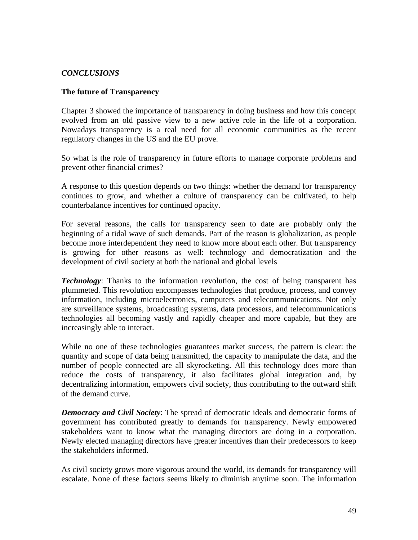## <span id="page-48-0"></span>*CONCLUSIONS*

#### **The future of Transparency**

Chapter 3 showed the importance of transparency in doing business and how this concept evolved from an old passive view to a new active role in the life of a corporation. Nowadays transparency is a real need for all economic communities as the recent regulatory changes in the US and the EU prove.

So what is the role of transparency in future efforts to manage corporate problems and prevent other financial crimes?

A response to this question depends on two things: whether the demand for transparency continues to grow, and whether a culture of transparency can be cultivated, to help counterbalance incentives for continued opacity.

For several reasons, the calls for transparency seen to date are probably only the beginning of a tidal wave of such demands. Part of the reason is globalization, as people become more interdependent they need to know more about each other. But transparency is growing for other reasons as well: technology and democratization and the development of civil society at both the national and global levels

*Technology*: Thanks to the information revolution, the cost of being transparent has plummeted. This revolution encompasses technologies that produce, process, and convey information, including microelectronics, computers and telecommunications. Not only are surveillance systems, broadcasting systems, data processors, and telecommunications technologies all becoming vastly and rapidly cheaper and more capable, but they are increasingly able to interact.

While no one of these technologies guarantees market success, the pattern is clear: the quantity and scope of data being transmitted, the capacity to manipulate the data, and the number of people connected are all skyrocketing. All this technology does more than reduce the costs of transparency, it also facilitates global integration and, by decentralizing information, empowers civil society, thus contributing to the outward shift of the demand curve.

*Democracy and Civil Society*: The spread of democratic ideals and democratic forms of government has contributed greatly to demands for transparency. Newly empowered stakeholders want to know what the managing directors are doing in a corporation. Newly elected managing directors have greater incentives than their predecessors to keep the stakeholders informed.

As civil society grows more vigorous around the world, its demands for transparency will escalate. None of these factors seems likely to diminish anytime soon. The information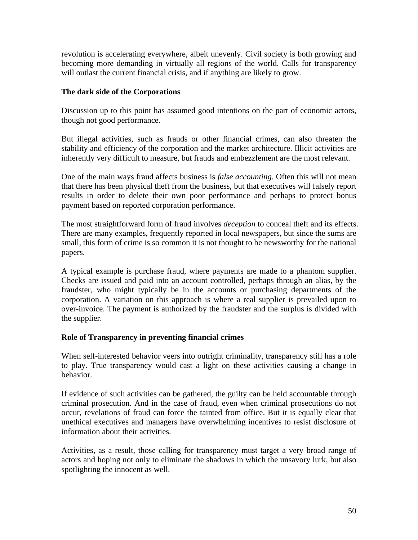<span id="page-49-0"></span>revolution is accelerating everywhere, albeit unevenly. Civil society is both growing and becoming more demanding in virtually all regions of the world. Calls for transparency will outlast the current financial crisis, and if anything are likely to grow.

#### **The dark side of the Corporations**

Discussion up to this point has assumed good intentions on the part of economic actors, though not good performance.

But illegal activities, such as frauds or other financial crimes, can also threaten the stability and efficiency of the corporation and the market architecture. Illicit activities are inherently very difficult to measure, but frauds and embezzlement are the most relevant.

One of the main ways fraud affects business is *false accounting*. Often this will not mean that there has been physical theft from the business, but that executives will falsely report results in order to delete their own poor performance and perhaps to protect bonus payment based on reported corporation performance.

The most straightforward form of fraud involves *deception* to conceal theft and its effects. There are many examples, frequently reported in local newspapers, but since the sums are small, this form of crime is so common it is not thought to be newsworthy for the national papers.

A typical example is purchase fraud, where payments are made to a phantom supplier. Checks are issued and paid into an account controlled, perhaps through an alias, by the fraudster, who might typically be in the accounts or purchasing departments of the corporation. A variation on this approach is where a real supplier is prevailed upon to over-invoice. The payment is authorized by the fraudster and the surplus is divided with the supplier.

## **Role of Transparency in preventing financial crimes**

When self-interested behavior veers into outright criminality, transparency still has a role to play. True transparency would cast a light on these activities causing a change in behavior.

If evidence of such activities can be gathered, the guilty can be held accountable through criminal prosecution. And in the case of fraud, even when criminal prosecutions do not occur, revelations of fraud can force the tainted from office. But it is equally clear that unethical executives and managers have overwhelming incentives to resist disclosure of information about their activities.

Activities, as a result, those calling for transparency must target a very broad range of actors and hoping not only to eliminate the shadows in which the unsavory lurk, but also spotlighting the innocent as well.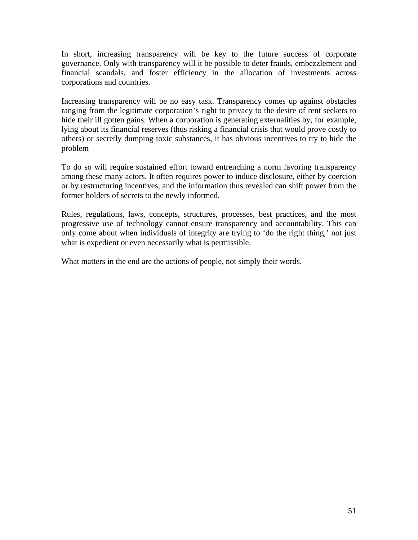In short, increasing transparency will be key to the future success of corporate governance. Only with transparency will it be possible to deter frauds, embezzlement and financial scandals, and foster efficiency in the allocation of investments across corporations and countries.

Increasing transparency will be no easy task. Transparency comes up against obstacles ranging from the legitimate corporation's right to privacy to the desire of rent seekers to hide their ill gotten gains. When a corporation is generating externalities by, for example, lying about its financial reserves (thus risking a financial crisis that would prove costly to others) or secretly dumping toxic substances, it has obvious incentives to try to hide the problem

To do so will require sustained effort toward entrenching a norm favoring transparency among these many actors. It often requires power to induce disclosure, either by coercion or by restructuring incentives, and the information thus revealed can shift power from the former holders of secrets to the newly informed.

Rules, regulations, laws, concepts, structures, processes, best practices, and the most progressive use of technology cannot ensure transparency and accountability. This can only come about when individuals of integrity are trying to 'do the right thing,' not just what is expedient or even necessarily what is permissible.

What matters in the end are the actions of people, not simply their words.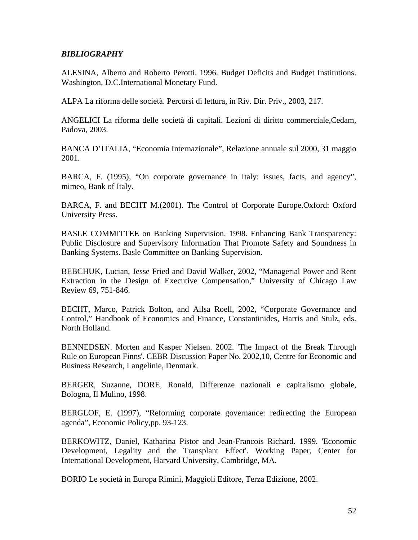#### <span id="page-51-0"></span>*BIBLIOGRAPHY*

ALESINA, Alberto and Roberto Perotti. 1996. Budget Deficits and Budget Institutions. Washington, D.C.International Monetary Fund.

ALPA La riforma delle società. Percorsi di lettura, in Riv. Dir. Priv., 2003, 217.

ANGELICI La riforma delle società di capitali. Lezioni di diritto commerciale,Cedam, Padova, 2003.

BANCA D'ITALIA, "Economia Internazionale", Relazione annuale sul 2000, 31 maggio 2001.

BARCA, F. (1995), "On corporate governance in Italy: issues, facts, and agency", mimeo, Bank of Italy.

BARCA, F. and BECHT M.(2001). The Control of Corporate Europe.Oxford: Oxford University Press.

BASLE COMMITTEE on Banking Supervision. 1998. Enhancing Bank Transparency: Public Disclosure and Supervisory Information That Promote Safety and Soundness in Banking Systems. Basle Committee on Banking Supervision.

BEBCHUK, Lucian, Jesse Fried and David Walker, 2002, "Managerial Power and Rent Extraction in the Design of Executive Compensation," University of Chicago Law Review 69, 751-846.

BECHT, Marco, Patrick Bolton, and Ailsa Roell, 2002, "Corporate Governance and Control," Handbook of Economics and Finance, Constantinides, Harris and Stulz, eds. North Holland.

BENNEDSEN. Morten and Kasper Nielsen. 2002. 'The Impact of the Break Through Rule on European Finns'. CEBR Discussion Paper No. 2002,10, Centre for Economic and Business Research, Langelinie, Denmark.

BERGER, Suzanne, DORE, Ronald, Differenze nazionali e capitalismo globale, Bologna, Il Mulino, 1998.

BERGLOF, E. (1997), "Reforming corporate governance: redirecting the European agenda", Economic Policy,pp. 93-123.

BERKOWITZ, Daniel, Katharina Pistor and Jean-Francois Richard. 1999. 'Economic Development, Legality and the Transplant Effect'. Working Paper, Center for International Development, Harvard University, Cambridge, MA.

BORIO Le società in Europa Rimini, Maggioli Editore, Terza Edizione, 2002.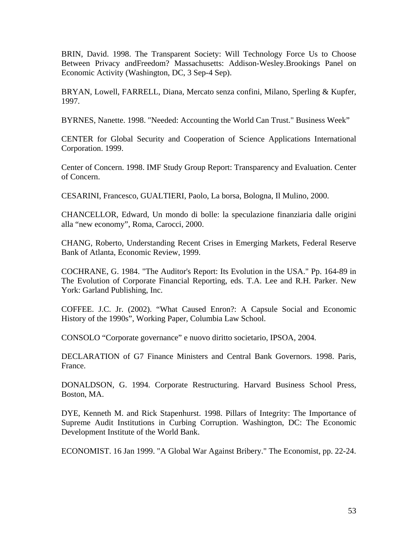BRIN, David. 1998. The Transparent Society: Will Technology Force Us to Choose Between Privacy andFreedom? Massachusetts: Addison-Wesley.Brookings Panel on Economic Activity (Washington, DC, 3 Sep-4 Sep).

BRYAN, Lowell, FARRELL, Diana, Mercato senza confini, Milano, Sperling & Kupfer, 1997.

BYRNES, Nanette. 1998. "Needed: Accounting the World Can Trust." Business Week"

CENTER for Global Security and Cooperation of Science Applications International Corporation. 1999.

Center of Concern. 1998. IMF Study Group Report: Transparency and Evaluation. Center of Concern.

CESARINI, Francesco, GUALTIERI, Paolo, La borsa, Bologna, Il Mulino, 2000.

CHANCELLOR, Edward, Un mondo di bolle: la speculazione finanziaria dalle origini alla "new economy", Roma, Carocci, 2000.

CHANG, Roberto, Understanding Recent Crises in Emerging Markets, Federal Reserve Bank of Atlanta, Economic Review, 1999.

COCHRANE, G. 1984. "The Auditor's Report: Its Evolution in the USA." Pp. 164-89 in The Evolution of Corporate Financial Reporting, eds. T.A. Lee and R.H. Parker. New York: Garland Publishing, Inc.

COFFEE. J.C. Jr. (2002). "What Caused Enron?: A Capsule Social and Economic History of the 1990s", Working Paper, Columbia Law School.

CONSOLO "Corporate governance" e nuovo diritto societario, IPSOA, 2004.

DECLARATION of G7 Finance Ministers and Central Bank Governors. 1998. Paris, France.

DONALDSON, G. 1994. Corporate Restructuring. Harvard Business School Press, Boston, MA.

DYE, Kenneth M. and Rick Stapenhurst. 1998. Pillars of Integrity: The Importance of Supreme Audit Institutions in Curbing Corruption. Washington, DC: The Economic Development Institute of the World Bank.

ECONOMIST. 16 Jan 1999. "A Global War Against Bribery." The Economist, pp. 22-24.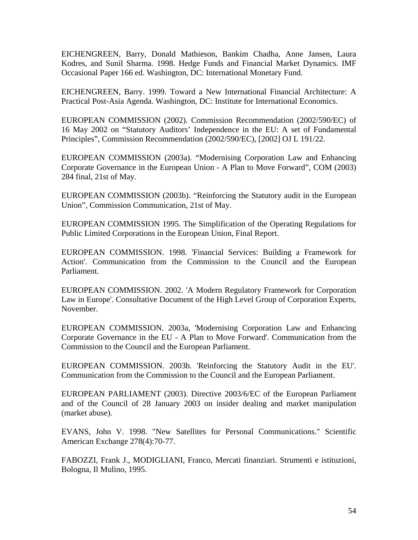EICHENGREEN, Barry, Donald Mathieson, Bankim Chadha, Anne Jansen, Laura Kodres, and Sunil Sharma. 1998. Hedge Funds and Financial Market Dynamics. IMF Occasional Paper 166 ed. Washington, DC: International Monetary Fund.

EICHENGREEN, Barry. 1999. Toward a New International Financial Architecture: A Practical Post-Asia Agenda. Washington, DC: Institute for International Economics.

EUROPEAN COMMISSION (2002). Commission Recommendation (2002/590/EC) of 16 May 2002 on "Statutory Auditors' Independence in the EU: A set of Fundamental Principles", Commission Recommendation (2002/590/EC), [2002] OJ L 191/22.

EUROPEAN COMMISSION (2003a). "Modernising Corporation Law and Enhancing Corporate Governance in the European Union - A Plan to Move Forward", COM (2003) 284 final, 21st of May.

EUROPEAN COMMISSION (2003b). "Reinforcing the Statutory audit in the European Union", Commission Communication, 21st of May.

EUROPEAN COMMISSION 1995. The Simplification of the Operating Regulations for Public Limited Corporations in the European Union, Final Report.

EUROPEAN COMMISSION. 1998. 'Financial Services: Building a Framework for Action'. Communication from the Commission to the Council and the European Parliament.

EUROPEAN COMMISSION. 2002. 'A Modern Regulatory Framework for Corporation Law in Europe'. Consultative Document of the High Level Group of Corporation Experts, November.

EUROPEAN COMMISSION. 2003a, 'Modernising Corporation Law and Enhancing Corporate Governance in the EU - A Plan to Move Forward'. Communication from the Commission to the Council and the European Parliament.

EUROPEAN COMMISSION. 2003b. 'Reinforcing the Statutory Audit in the EU'. Communication from the Commission to the Council and the European Parliament.

EUROPEAN PARLIAMENT (2003). Directive 2003/6/EC of the European Parliament and of the Council of 28 January 2003 on insider dealing and market manipulation (market abuse).

EVANS, John V. 1998. "New Satellites for Personal Communications." Scientific American Exchange 278(4):70-77.

FABOZZI, Frank J., MODIGLIANI, Franco, Mercati finanziari. Strumenti e istituzioni, Bologna, Il Mulino, 1995.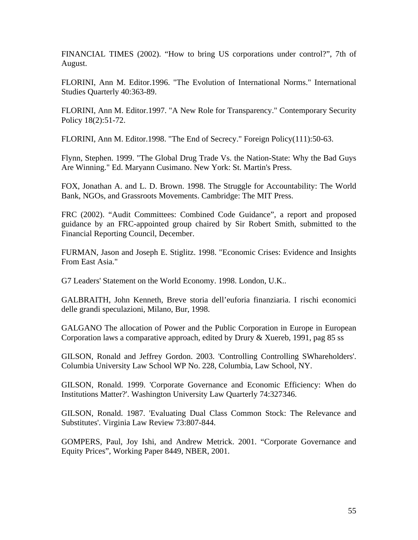FINANCIAL TIMES (2002). "How to bring US corporations under control?", 7th of August.

FLORINI, Ann M. Editor.1996. "The Evolution of International Norms." International Studies Quarterly 40:363-89.

FLORINI, Ann M. Editor.1997. "A New Role for Transparency." Contemporary Security Policy 18(2):51-72.

FLORINI, Ann M. Editor.1998. "The End of Secrecy." Foreign Policy(111):50-63.

Flynn, Stephen. 1999. "The Global Drug Trade Vs. the Nation-State: Why the Bad Guys Are Winning." Ed. Maryann Cusimano. New York: St. Martin's Press.

FOX, Jonathan A. and L. D. Brown. 1998. The Struggle for Accountability: The World Bank, NGOs, and Grassroots Movements. Cambridge: The MIT Press.

FRC (2002). "Audit Committees: Combined Code Guidance", a report and proposed guidance by an FRC-appointed group chaired by Sir Robert Smith, submitted to the Financial Reporting Council, December.

FURMAN, Jason and Joseph E. Stiglitz. 1998. "Economic Crises: Evidence and Insights From East Asia."

G7 Leaders' Statement on the World Economy. 1998. London, U.K..

GALBRAITH, John Kenneth, Breve storia dell'euforia finanziaria. I rischi economici delle grandi speculazioni, Milano, Bur, 1998.

GALGANO The allocation of Power and the Public Corporation in Europe in European Corporation laws a comparative approach, edited by Drury & Xuereb, 1991, pag 85 ss

GILSON, Ronald and Jeffrey Gordon. 2003. 'Controlling Controlling SWhareholders'. Columbia University Law School WP No. 228, Columbia, Law School, NY.

GILSON, Ronald. 1999. 'Corporate Governance and Economic Efficiency: When do Institutions Matter?'. Washington University Law Quarterly 74:327 346.

GILSON, Ronald. 1987. 'Evaluating Dual Class Common Stock: The Relevance and Substitutes'. Virginia Law Review 73:807-844.

GOMPERS, Paul, Joy Ishi, and Andrew Metrick. 2001. "Corporate Governance and Equity Prices", Working Paper 8449, NBER, 2001.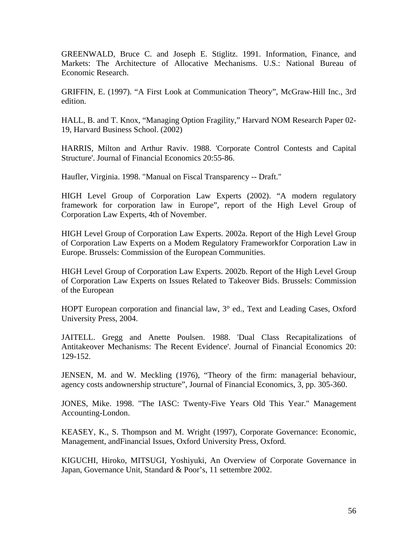GREENWALD, Bruce C. and Joseph E. Stiglitz. 1991. Information, Finance, and Markets: The Architecture of Allocative Mechanisms. U.S.: National Bureau of Economic Research.

GRIFFIN, E. (1997). "A First Look at Communication Theory", McGraw-Hill Inc., 3rd edition.

HALL, B. and T. Knox, "Managing Option Fragility," Harvard NOM Research Paper 02- 19, Harvard Business School. (2002)

HARRIS, Milton and Arthur Raviv. 1988. 'Corporate Control Contests and Capital Structure'. Journal of Financial Economics 20:55-86.

Haufler, Virginia. 1998. "Manual on Fiscal Transparency -- Draft."

HIGH Level Group of Corporation Law Experts (2002). "A modern regulatory framework for corporation law in Europe", report of the High Level Group of Corporation Law Experts, 4th of November.

HIGH Level Group of Corporation Law Experts. 2002a. Report of the High Level Group of Corporation Law Experts on a Modem Regulatory Frameworkfor Corporation Law in Europe. Brussels: Commission of the European Communities.

HIGH Level Group of Corporation Law Experts. 2002b. Report of the High Level Group of Corporation Law Experts on Issues Related to Takeover Bids. Brussels: Commission of the European

HOPT European corporation and financial law, 3° ed., Text and Leading Cases, Oxford University Press, 2004.

JAITELL. Gregg and Anette Poulsen. 1988. 'Dual Class Recapitalizations of Antitakeover Mechanisms: The Recent Evidence'. Journal of Financial Economics 20: 129-152.

JENSEN, M. and W. Meckling (1976), "Theory of the firm: managerial behaviour, agency costs andownership structure", Journal of Financial Economics, 3, pp. 305-360.

JONES, Mike. 1998. "The IASC: Twenty-Five Years Old This Year." Management Accounting-London.

KEASEY, K., S. Thompson and M. Wright (1997), Corporate Governance: Economic, Management, andFinancial Issues, Oxford University Press, Oxford.

KIGUCHI, Hiroko, MITSUGI, Yoshiyuki, An Overview of Corporate Governance in Japan, Governance Unit, Standard & Poor's, 11 settembre 2002.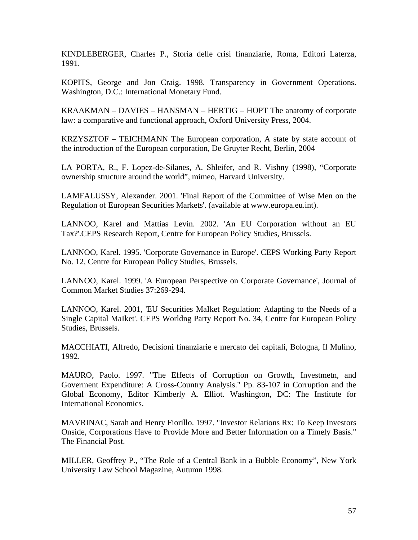KINDLEBERGER, Charles P., Storia delle crisi finanziarie, Roma, Editori Laterza, 1991.

KOPITS, George and Jon Craig. 1998. Transparency in Government Operations. Washington, D.C.: International Monetary Fund.

KRAAKMAN – DAVIES – HANSMAN – HERTIG – HOPT The anatomy of corporate law: a comparative and functional approach, Oxford University Press, 2004.

KRZYSZTOF – TEICHMANN The European corporation, A state by state account of the introduction of the European corporation, De Gruyter Recht, Berlin, 2004

LA PORTA, R., F. Lopez-de-Silanes, A. Shleifer, and R. Vishny (1998), "Corporate ownership structure around the world", mimeo, Harvard University.

LAMFALUSSY, Alexander. 2001. 'Final Report of the Committee of Wise Men on the Regulation of European Securities Markets'. (available at www.europa.eu.int).

LANNOO, Karel and Mattias Levin. 2002. 'An EU Corporation without an EU Tax?'.CEPS Research Report, Centre for European Policy Studies, Brussels.

LANNOO, Karel. 1995. 'Corporate Governance in Europe'. CEPS Working Party Report No. 12, Centre for European Policy Studies, Brussels.

LANNOO, Karel. 1999. 'A European Perspective on Corporate Governance', Journal of Common Market Studies 37:269-294.

LANNOO, Karel. 2001, 'EU Securities MaIket Regulation: Adapting to the Needs of a Single Capital MaIket'. CEPS Worldng Party Report No. 34, Centre for European Policy Studies, Brussels.

MACCHIATI, Alfredo, Decisioni finanziarie e mercato dei capitali, Bologna, Il Mulino, 1992.

MAURO, Paolo. 1997. "The Effects of Corruption on Growth, Investmetn, and Goverment Expenditure: A Cross-Country Analysis." Pp. 83-107 in Corruption and the Global Economy, Editor Kimberly A. Elliot. Washington, DC: The Institute for International Economics.

MAVRINAC, Sarah and Henry Fiorillo. 1997. "Investor Relations Rx: To Keep Investors Onside, Corporations Have to Provide More and Better Information on a Timely Basis." The Financial Post.

MILLER, Geoffrey P., "The Role of a Central Bank in a Bubble Economy", New York University Law School Magazine, Autumn 1998.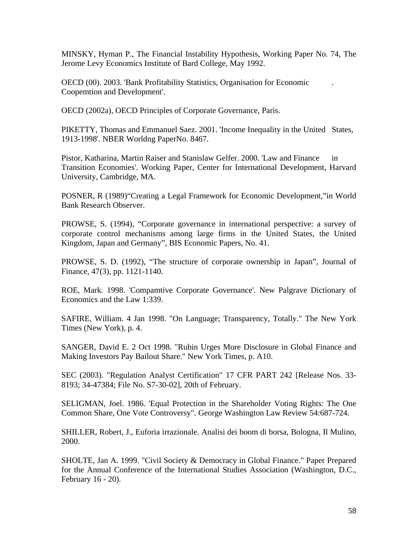MINSKY, Hyman P., The Financial Instability Hypothesis, Working Paper No. 74, The Jerome Levy Economics Institute of Bard College, May 1992.

OECD (00). 2003. 'Bank Profitability Statistics, Organisation for Economic . Coopemtion and Development'.

OECD (2002a), OECD Principles of Corporate Governance, Paris.

PIKETTY, Thomas and Emmanuel Saez. 2001. 'Income Inequality in the United States, 1913-1998'. NBER Worldng PaperNo. 8467.

Pistor, Katharina, Martin Raiser and Stanislaw Gelfer. 2000. 'Law and Finance in Transition Economies'. Working Paper, Center for International Development, Harvard University, Cambridge, MA.

POSNER, R (1989)"Creating a Legal Framework for Economic Development,"in World Bank Research Observer.

PROWSE, S. (1994), "Corporate governance in international perspective: a survey of corporate control mechanisms among large firms in the United States, the United Kingdom, Japan and Germany", BIS Economic Papers, No. 41.

PROWSE, S. D. (1992), "The structure of corporate ownership in Japan", Journal of Finance, 47(3), pp. 1121-1140.

ROE, Mark. 1998. 'Compamtive Corporate Governance'. New Palgrave Dictionary of Economics and the Law 1:339.

SAFIRE, William. 4 Jan 1998. "On Language; Transparency, Totally." The New York Times (New York), p. 4.

SANGER, David E. 2 Oct 1998. "Rubin Urges More Disclosure in Global Finance and Making Investors Pay Bailout Share." New York Times, p. A10.

SEC (2003). "Regulation Analyst Certification" 17 CFR PART 242 [Release Nos. 33- 8193; 34-47384; File No. S7-30-02], 20th of February.

SELIGMAN, Joel. 1986. 'Equal Protection in the Shareholder Voting Rights: The One Common Share, One Vote Controversy". George Washington Law Review 54:687-724.

SHILLER, Robert, J., Euforia irrazionale. Analisi dei boom di borsa, Bologna, Il Mulino, 2000.

SHOLTE, Jan A. 1999. "Civil Society & Democracy in Global Finance." Paper Prepared for the Annual Conference of the International Studies Association (Washington, D.C., February 16 - 20).